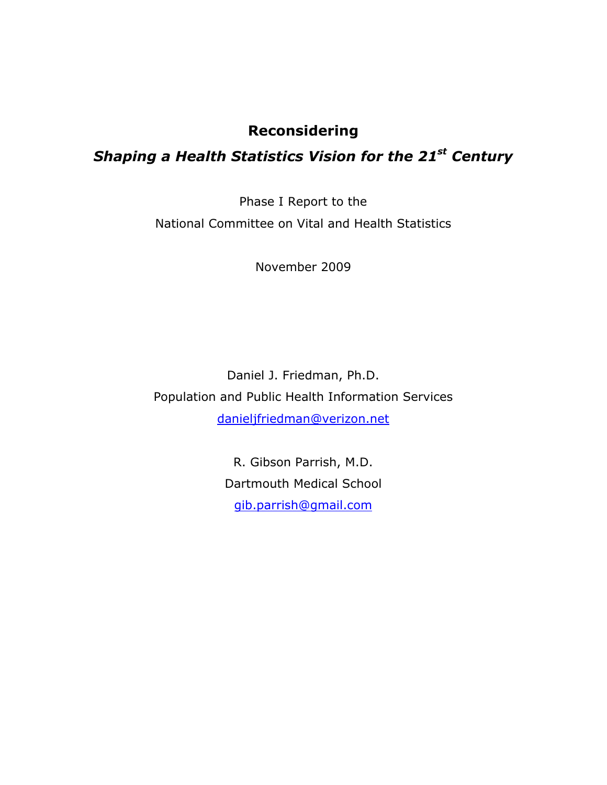## **Reconsidering**

# *Shaping a Health Statistics Vision for the 21st Century*

Phase I Report to the National Committee on Vital and Health Statistics

November 2009

Daniel J. Friedman, Ph.D. Population and Public Health Information Services danieljfriedman@verizon.net

> gib.parrish@gmail.com R. Gibson Parrish, M.D. Dartmouth Medical School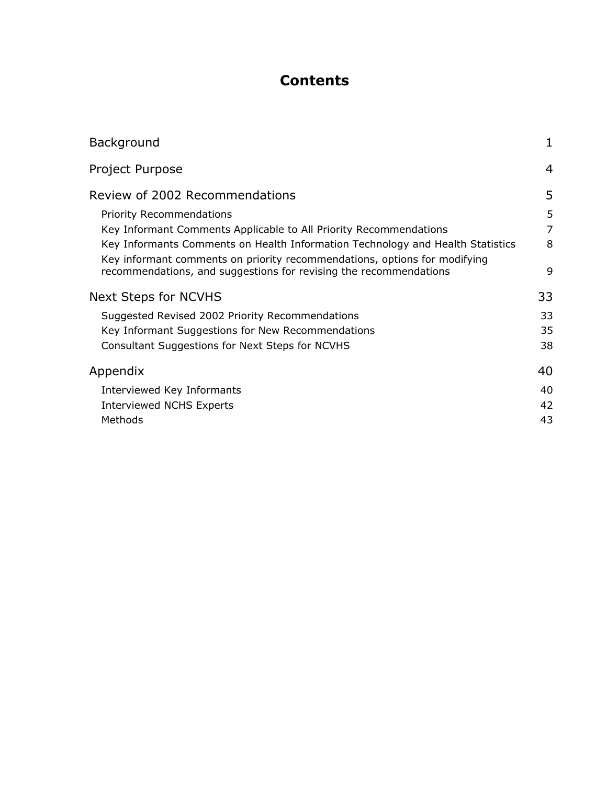# **Contents**

| Background                                                                                                                                     | 1  |
|------------------------------------------------------------------------------------------------------------------------------------------------|----|
| Project Purpose                                                                                                                                | 4  |
| Review of 2002 Recommendations                                                                                                                 | 5  |
| <b>Priority Recommendations</b>                                                                                                                | 5  |
| Key Informant Comments Applicable to All Priority Recommendations                                                                              | 7  |
| Key Informants Comments on Health Information Technology and Health Statistics                                                                 | 8  |
| Key informant comments on priority recommendations, options for modifying<br>recommendations, and suggestions for revising the recommendations | 9  |
| <b>Next Steps for NCVHS</b>                                                                                                                    | 33 |
| Suggested Revised 2002 Priority Recommendations                                                                                                | 33 |
| Key Informant Suggestions for New Recommendations                                                                                              | 35 |
| Consultant Suggestions for Next Steps for NCVHS                                                                                                | 38 |
| Appendix                                                                                                                                       | 40 |
| Interviewed Key Informants                                                                                                                     | 40 |
| <b>Interviewed NCHS Experts</b>                                                                                                                | 42 |
| Methods                                                                                                                                        | 43 |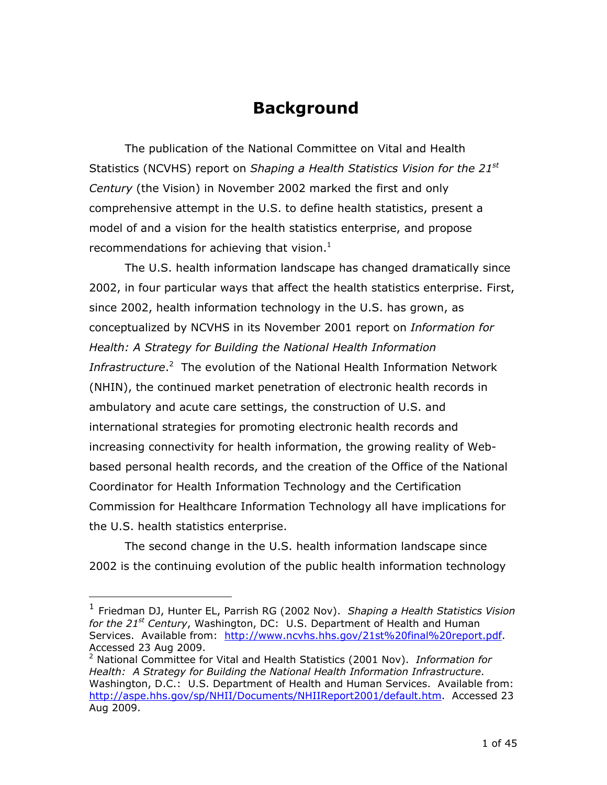# **Background**

recommendations for achieving that vision.<sup>1</sup> The publication of the National Committee on Vital and Health Statistics (NCVHS) report on *Shaping a Health Statistics Vision for the 21st Century* (the Vision) in November 2002 marked the first and only comprehensive attempt in the U.S. to define health statistics, present a model of and a vision for the health statistics enterprise, and propose

 conceptualized by NCVHS in its November 2001 report on *Information for Health: A Strategy for Building the National Health Information*  Commission for Healthcare Information Technology all have implications for The U.S. health information landscape has changed dramatically since 2002, in four particular ways that affect the health statistics enterprise. First, since 2002, health information technology in the U.S. has grown, as Infrastructure.<sup>2</sup> The evolution of the National Health Information Network (NHIN), the continued market penetration of electronic health records in ambulatory and acute care settings, the construction of U.S. and international strategies for promoting electronic health records and increasing connectivity for health information, the growing reality of Webbased personal health records, and the creation of the Office of the National Coordinator for Health Information Technology and the Certification the U.S. health statistics enterprise.

The second change in the U.S. health information landscape since 2002 is the continuing evolution of the public health information technology

Services. Available from: http://www.ncvhs.hhs.gov/21st%20final%20report.pdf. Accessed 23 Aug 2009.<br><sup>2</sup> National Committee for 1 Friedman DJ, Hunter EL, Parrish RG (2002 Nov). *Shaping a Health Statistics Vision for the 21st Century*, Washington, DC: U.S. Department of Health and Human

 Washington, D.C.: U.S. Department of Health and Human Services. Available from: <sup>2</sup> National Committee for Vital and Health Statistics (2001 Nov). *Information for Health: A Strategy for Building the National Health Information Infrastructure*. http://aspe.hhs.gov/sp/NHII/Documents/NHIIReport2001/default.htm. Accessed 23 Aug 2009.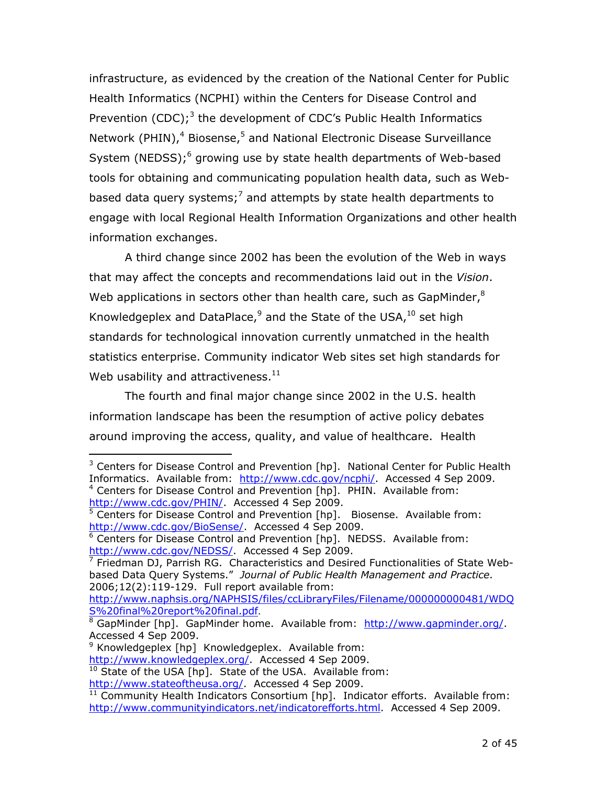infrastructure, as evidenced by the creation of the National Center for Public Health Informatics (NCPHI) within the Centers for Disease Control and Prevention  $(CDC)$ ;<sup>3</sup> the development of CDC's Public Health Informatics Network (PHIN),<sup>4</sup> Biosense,<sup>5</sup> and National Electronic Disease Surveillance System (NEDSS); $^6$  growing use by state health departments of Web-based tools for obtaining and communicating population health data, such as Webbased data query systems;<sup>7</sup> and attempts by state health departments to engage with local Regional Health Information Organizations and other health information exchanges.

Web usability and attractiveness. $^{11}$ A third change since 2002 has been the evolution of the Web in ways that may affect the concepts and recommendations laid out in the *Vision*. Web applications in sectors other than health care, such as GapMinder, $^8$ Knowledgeplex and DataPlace, $9$  and the State of the USA,  $10$  set high standards for technological innovation currently unmatched in the health statistics enterprise. Community indicator Web sites set high standards for

The fourth and final major change since 2002 in the U.S. health information landscape has been the resumption of active policy debates around improving the access, quality, and value of healthcare. Health

<sup>&</sup>lt;sup>4</sup> Centers for Disease Control and Prevention [hp]. PHIN. Available from: <sup>3</sup> Centers for Disease Control and Prevention [hp]. National Center for Public Health Informatics. Available from: http://www.cdc.gov/ncphi/. Accessed 4 Sep 2009. http://www.cdc.gov/PHIN/. Accessed 4 Sep 2009.

<sup>&</sup>lt;sup>5</sup> Centers for Disease Control and Prevention [hp]. Biosense. Available from: http://www.cdc.gov/BioSense/. Accessed 4 Sep 2009.

<sup>&</sup>lt;sup>6</sup> Centers for Disease Control and Prevention [hp]. NEDSS. Available from: http://www.cdc.gov/NEDSS/ Accessed 4 Sep 2009.

<sup>&</sup>lt;sup>7</sup> Friedman DJ, Parrish RG. Characteristics and Desired Functionalities of State Webbased Data Query Systems." *Journal of Public Health Management and Practice*. 2006;12(2):119-129. Full report available from:

S%20final%20report%20final.pdf.<br><sup>8</sup> GapMinder [hp]. GapMinder home. Available from: <u>http://www.gapminder.org/</u>. http://www.naphsis.org/NAPHSIS/files/ccLibraryFiles/Filename/000000000481/WDQ<br>S%20final%20report%20final.pdf.

Accessed 4 Sep 2009.

<sup>&</sup>lt;sup>9</sup> Knowledgeplex [hp] Knowledgeplex. Available from:

http://www.knowledgeplex.org/. Accessed 4 Sep 2009.

 $10$  State of the USA [hp]. State of the USA. Available from: http://www.stateoftheusa.org/. Accessed 4 Sep 2009.

<sup>&</sup>lt;sup>11</sup> Community Health Indicators Consortium [hp]. Indicator efforts. Available from: http://www.communityindicators.net/indicatorefforts.html. Accessed 4 Sep 2009.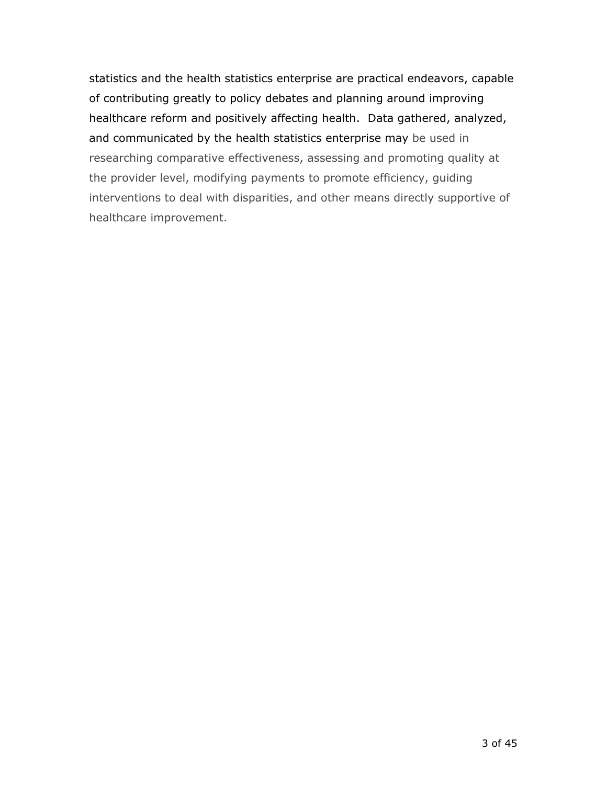statistics and the health statistics enterprise are practical endeavors, capable of contributing greatly to policy debates and planning around improving healthcare reform and positively affecting health. Data gathered, analyzed, and communicated by the health statistics enterprise may be used in researching comparative effectiveness, assessing and promoting quality at the provider level, modifying payments to promote efficiency, guiding interventions to deal with disparities, and other means directly supportive of healthcare improvement.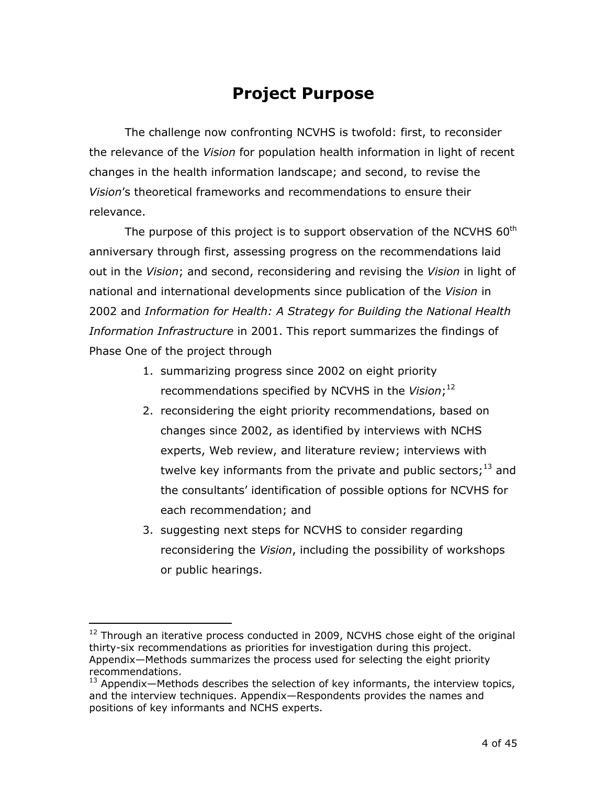# **Project Purpose**

The challenge now confronting NCVHS is twofold: first, to reconsider the relevance of the *Vision* for population health information in light of recent changes in the health information landscape; and second, to revise the *Vision*'s theoretical frameworks and recommendations to ensure their relevance.

The purpose of this project is to support observation of the NCVHS  $60<sup>th</sup>$ anniversary through first, assessing progress on the recommendations laid out in the *Vision*; and second, reconsidering and revising the *Vision* in light of national and international developments since publication of the *Vision* in 2002 and *Information for Health: A Strategy for Building the National Health Information Infrastructure* in 2001. This report summarizes the findings of Phase One of the project through

- recommendations specified by NCVHS in the *Vision*;<sup>12</sup> 1. summarizing progress since 2002 on eight priority
- 2. reconsidering the eight priority recommendations, based on changes since 2002, as identified by interviews with NCHS experts, Web review, and literature review; interviews with twelve key informants from the private and public sectors; $^{13}$  and the consultants' identification of possible options for NCVHS for each recommendation; and
- 3. suggesting next steps for NCVHS to consider regarding reconsidering the *Vision*, including the possibility of workshops or public hearings.

 $12$  Through an iterative process conducted in 2009, NCVHS chose eight of the original thirty-six recommendations as priorities for investigation during this project. Appendix—Methods summarizes the process used for selecting the eight priority recommendations.

 $13$  Appendix—Methods describes the selection of key informants, the interview topics, and the interview techniques. Appendix—Respondents provides the names and positions of key informants and NCHS experts.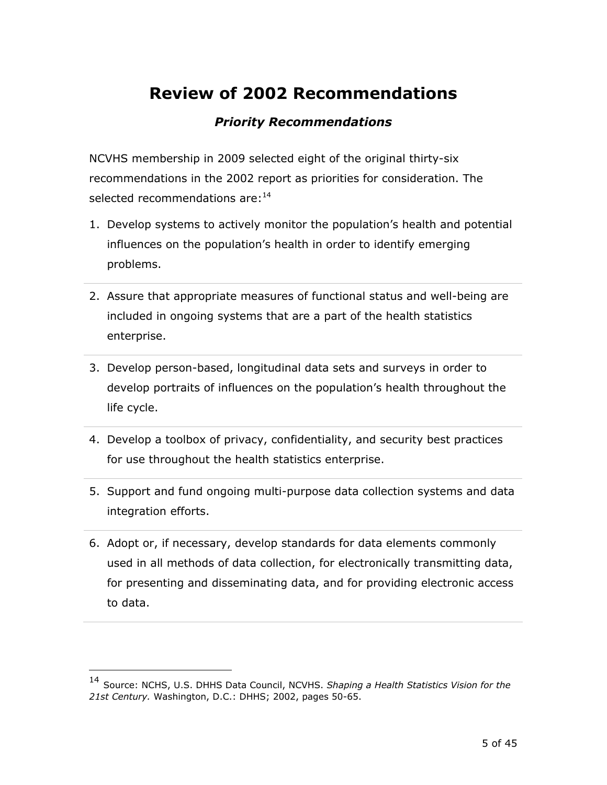# **Review of 2002 Recommendations**

## *Priority Recommendations*

NCVHS membership in 2009 selected eight of the original thirty-six recommendations in the 2002 report as priorities for consideration. The selected recommendations are: <sup>14</sup>

- 1. Develop systems to actively monitor the population's health and potential influences on the population's health in order to identify emerging problems.
- included in ongoing systems that are a part of the health statistics 2. Assure that appropriate measures of functional status and well-being are enterprise.
- 3. Develop person-based, longitudinal data sets and surveys in order to develop portraits of influences on the population's health throughout the life cycle.
- 4. Develop a toolbox of privacy, confidentiality, and security best practices for use throughout the health statistics enterprise.
- 5. Support and fund ongoing multi-purpose data collection systems and data integration efforts.
- 6. Adopt or, if necessary, develop standards for data elements commonly used in all methods of data collection, for electronically transmitting data, for presenting and disseminating data, and for providing electronic access to data.

<sup>&</sup>lt;sup>14</sup> Source: NCHS, U.S. DHHS Data Council, NCVHS. Shaping a Health Statistics Vision for the *21st Century.* Washington, D.C.: DHHS; 2002, pages 50-65.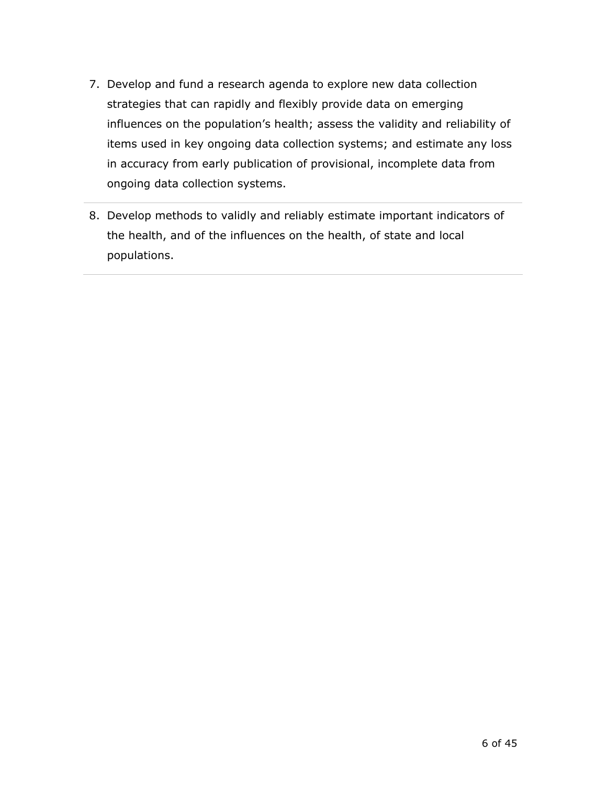- 7. Develop and fund a research agenda to explore new data collection strategies that can rapidly and flexibly provide data on emerging influences on the population's health; assess the validity and reliability of items used in key ongoing data collection systems; and estimate any loss in accuracy from early publication of provisional, incomplete data from ongoing data collection systems.
- 8. Develop methods to validly and reliably estimate important indicators of the health, and of the influences on the health, of state and local populations.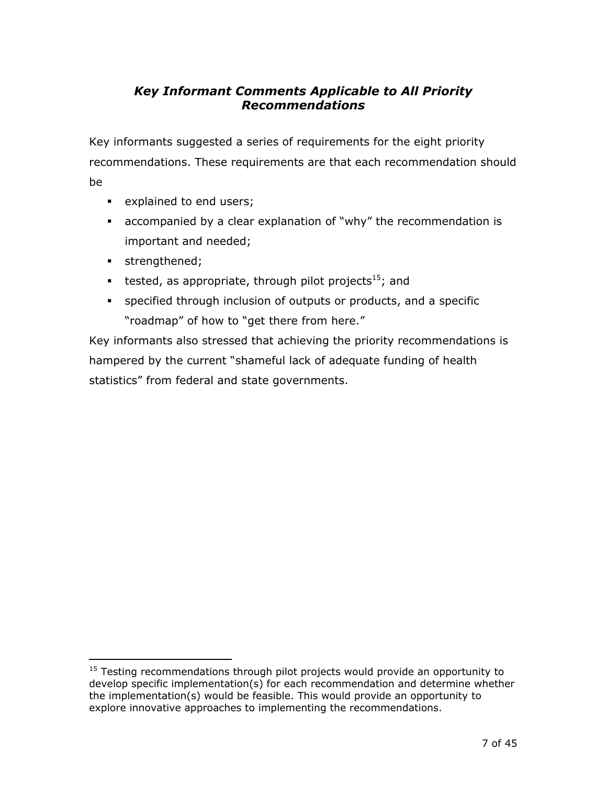## *Key Informant Comments Applicable to All Priority Recommendations*

Key informants suggested a series of requirements for the eight priority recommendations. These requirements are that each recommendation should be

- **explained to end users;**
- accompanied by a clear explanation of "why" the recommendation is important and needed;
- strengthened;
- tested, as appropriate, through pilot projects<sup>15</sup>; and
- "roadmap" of how to "get there from here." specified through inclusion of outputs or products, and a specific

Key informants also stressed that achieving the priority recommendations is hampered by the current "shameful lack of adequate funding of health statistics" from federal and state governments.

 $\overline{a}$  $15$  Testing recommendations through pilot projects would provide an opportunity to develop specific implementation(s) for each recommendation and determine whether the implementation(s) would be feasible. This would provide an opportunity to explore innovative approaches to implementing the recommendations.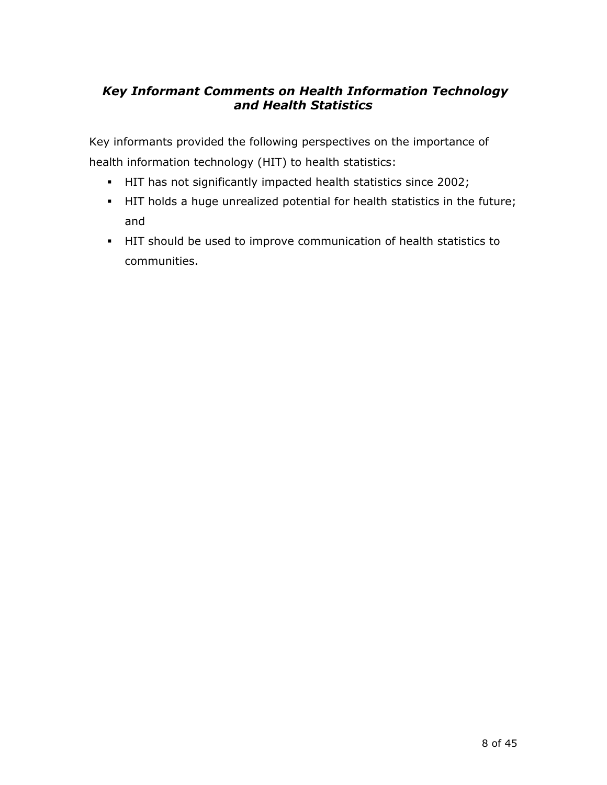## *Key Informant Comments on Health Information Technology and Health Statistics*

Key informants provided the following perspectives on the importance of health information technology (HIT) to health statistics:

- HIT has not significantly impacted health statistics since 2002;
- HIT holds a huge unrealized potential for health statistics in the future; and
- HIT should be used to improve communication of health statistics to communities.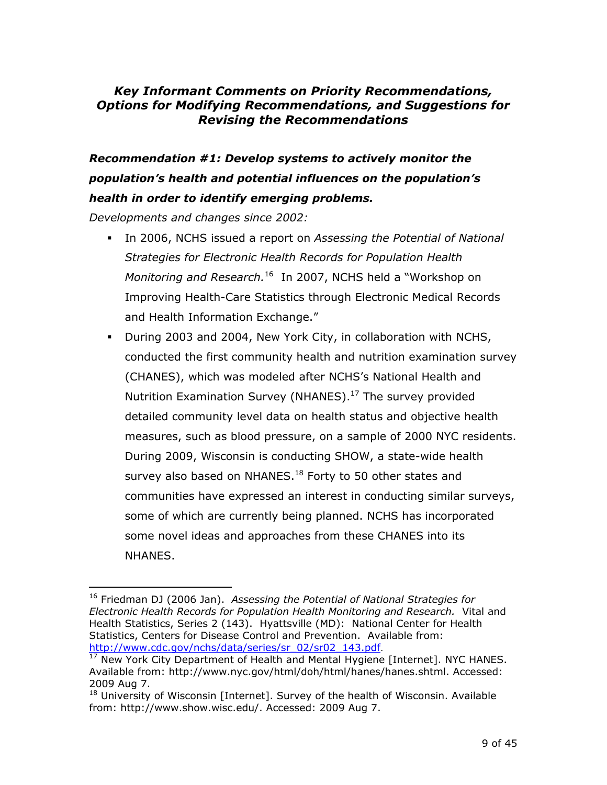### *Key Informant Comments on Priority Recommendations, Options for Modifying Recommendations, and Suggestions for Revising the Recommendations*

# *Recommendation #1: Develop systems to actively monitor the population's health and potential influences on the population's health in order to identify emerging problems.*

*Developments and changes since 2002:* 

- *Monitoring and Research.*16 In 2007, NCHS held a "Workshop on In 2006, NCHS issued a report on *Assessing the Potential of National Strategies for Electronic Health Records for Population Health*  Improving Health-Care Statistics through Electronic Medical Records and Health Information Exchange."
- Nutrition Examination Survey (NHANES).<sup>17</sup> The survey provided During 2003 and 2004, New York City, in collaboration with NCHS, conducted the first community health and nutrition examination survey (CHANES), which was modeled after NCHS's National Health and detailed community level data on health status and objective health measures, such as blood pressure, on a sample of 2000 NYC residents. During 2009, Wisconsin is conducting SHOW, a state-wide health survey also based on NHANES.<sup>18</sup> Forty to 50 other states and communities have expressed an interest in conducting similar surveys, some of which are currently being planned. NCHS has incorporated some novel ideas and approaches from these CHANES into its NHANES.

 16 Friedman DJ (2006 Jan). *Assessing the Potential of National Strategies for* Statistics, Centers for Disease Control and Prevention. Available from: *Electronic Health Records for Population Health Monitoring and Research.* Vital and Health Statistics, Series 2 (143). Hyattsville (MD): National Center for Health http://www.cdc.gov/nchs/data/series/sr\_02/sr02\_143.pdf.<br><sup>17</sup> New York City Department of Health and Mental Hygiene [Internet]. NYC HANES.

Available from: http://www.nyc.gov/html/doh/html/hanes/hanes.shtml. Accessed: 2009 Aug 7.<br><sup>18</sup> University of Wisconsin [Internet]. Survey of the health of Wisconsin. Available

from: http://www.show.wisc.edu/. Accessed: 2009 Aug 7.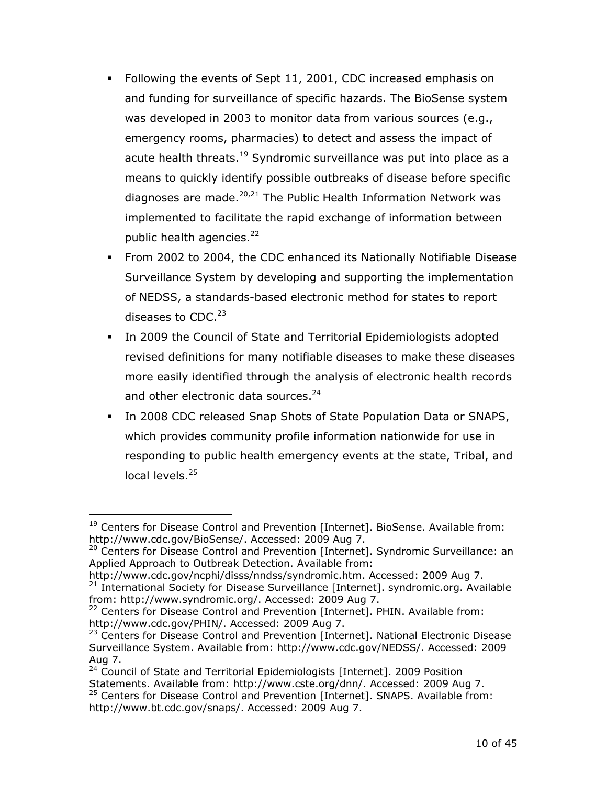- Following the events of Sept 11, 2001, CDC increased emphasis on and funding for surveillance of specific hazards. The BioSense system was developed in 2003 to monitor data from various sources (e.g., emergency rooms, pharmacies) to detect and assess the impact of acute health threats.<sup>19</sup> Syndromic surveillance was put into place as a means to quickly identify possible outbreaks of disease before specific diagnoses are made. $20,21$  The Public Health Information Network was implemented to facilitate the rapid exchange of information between public health agencies.<sup>22</sup>
- From 2002 to 2004, the CDC enhanced its Nationally Notifiable Disease Surveillance System by developing and supporting the implementation of NEDSS, a standards-based electronic method for states to report diseases to CDC.<sup>23</sup>
- In 2009 the Council of State and Territorial Epidemiologists adopted revised definitions for many notifiable diseases to make these diseases more easily identified through the analysis of electronic health records and other electronic data sources.<sup>24</sup>
- In 2008 CDC released Snap Shots of State Population Data or SNAPS, which provides community profile information nationwide for use in responding to public health emergency events at the state, Tribal, and local levels.<sup>25</sup>

<sup>&</sup>lt;sup>19</sup> Centers for Disease Control and Prevention [Internet]. BioSense. Available from: http://www.cdc.gov/BioSense/. Accessed: 2009 Aug 7.

<sup>&</sup>lt;sup>20</sup> Centers for Disease Control and Prevention [Internet]. Syndromic Surveillance: an Applied Approach to Outbreak Detection. Available from:

http://www.cdc.gov/ncphi/disss/nndss/syndromic.htm. Accessed: 2009 Aug 7.  $21$  International Society for Disease Surveillance [Internet]. syndromic.org. Available from: http://www.syndromic.org/. Accessed: 2009 Aug 7.

<sup>&</sup>lt;sup>22</sup> Centers for Disease Control and Prevention [Internet]. PHIN. Available from: http://www.cdc.gov/PHIN/. Accessed: 2009 Aug 7.<br><sup>23</sup> Centers for Disease Control and Prevention [Internet]. National Electronic Disease

Surveillance System. Available from: http://www.cdc.gov/NEDSS/. Accessed: 2009 Aug 7.<br><sup>24</sup> Council of State and Territorial Epidemiologists [Internet]. 2009 Position

Statements. Available from: http://www.cste.org/dnn/. Accessed: 2009 Aug 7. <sup>25</sup> Centers for Disease Control and Prevention [Internet]. SNAPS. Available from:

http://www.bt.cdc.gov/snaps/. Accessed: 2009 Aug 7.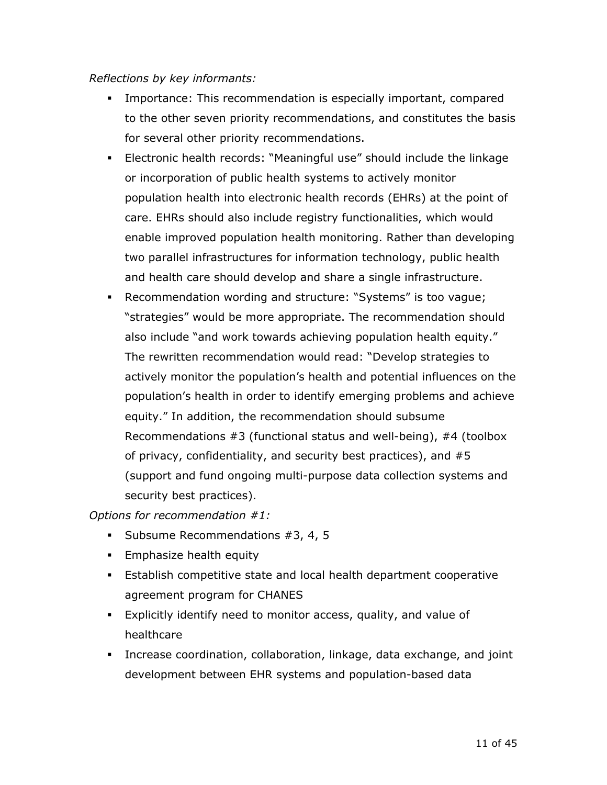#### *Reflections by key informants:*

- Importance: This recommendation is especially important, compared to the other seven priority recommendations, and constitutes the basis for several other priority recommendations.
- Electronic health records: "Meaningful use" should include the linkage or incorporation of public health systems to actively monitor population health into electronic health records (EHRs) at the point of care. EHRs should also include registry functionalities, which would enable improved population health monitoring. Rather than developing two parallel infrastructures for information technology, public health and health care should develop and share a single infrastructure.
- Recommendation wording and structure: "Systems" is too vague; "strategies" would be more appropriate. The recommendation should also include "and work towards achieving population health equity." The rewritten recommendation would read: "Develop strategies to actively monitor the population's health and potential influences on the population's health in order to identify emerging problems and achieve equity." In addition, the recommendation should subsume Recommendations #3 (functional status and well-being), #4 (toolbox of privacy, confidentiality, and security best practices), and #5 (support and fund ongoing multi-purpose data collection systems and security best practices).

*Options for recommendation #1:* 

- **Subsume Recommendations #3, 4, 5**
- **Emphasize health equity**
- Establish competitive state and local health department cooperative agreement program for CHANES
- Explicitly identify need to monitor access, quality, and value of healthcare
- Increase coordination, collaboration, linkage, data exchange, and joint development between EHR systems and population-based data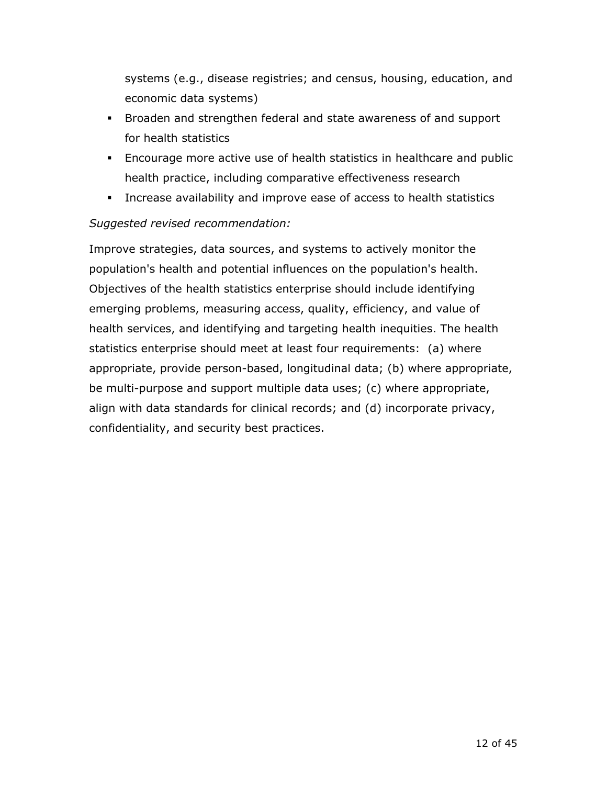systems (e.g., disease registries; and census, housing, education, and economic data systems)

- Broaden and strengthen federal and state awareness of and support for health statistics
- Encourage more active use of health statistics in healthcare and public health practice, including comparative effectiveness research
- Increase availability and improve ease of access to health statistics

### *Suggested revised recommendation:*

 confidentiality, and security best practices. Improve strategies, data sources, and systems to actively monitor the population's health and potential influences on the population's health. Objectives of the health statistics enterprise should include identifying emerging problems, measuring access, quality, efficiency, and value of health services, and identifying and targeting health inequities. The health statistics enterprise should meet at least four requirements: (a) where appropriate, provide person-based, longitudinal data; (b) where appropriate, be multi-purpose and support multiple data uses; (c) where appropriate, align with data standards for clinical records; and (d) incorporate privacy,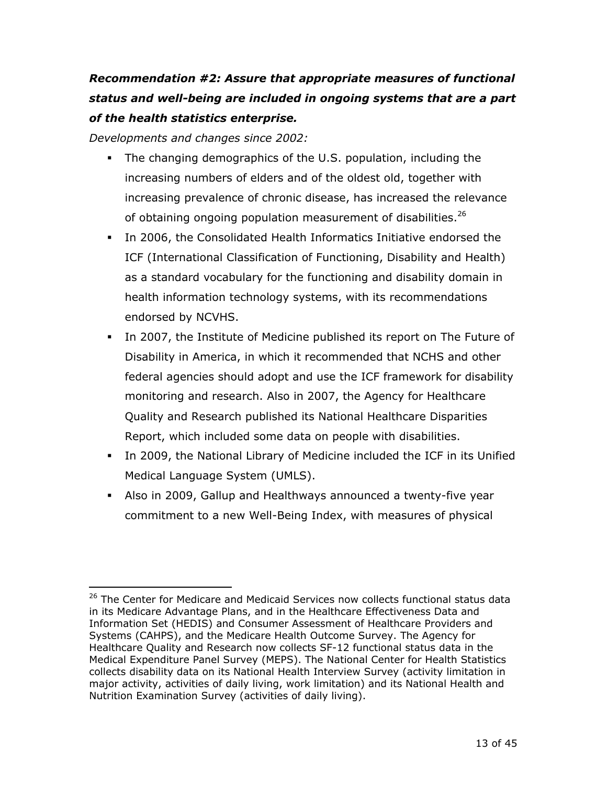# *Recommendation #2: Assure that appropriate measures of functional status and well-being are included in ongoing systems that are a part of the health statistics enterprise.*

*Developments and changes since 2002:* 

- of obtaining ongoing population measurement of disabilities. $26$  The changing demographics of the U.S. population, including the increasing numbers of elders and of the oldest old, together with increasing prevalence of chronic disease, has increased the relevance
- In 2006, the Consolidated Health Informatics Initiative endorsed the ICF (International Classification of Functioning, Disability and Health) as a standard vocabulary for the functioning and disability domain in health information technology systems, with its recommendations endorsed by NCVHS.
- In 2007, the Institute of Medicine published its report on The Future of Disability in America, in which it recommended that NCHS and other federal agencies should adopt and use the ICF framework for disability monitoring and research. Also in 2007, the Agency for Healthcare Quality and Research published its National Healthcare Disparities Report, which included some data on people with disabilities.
- In 2009, the National Library of Medicine included the ICF in its Unified Medical Language System (UMLS).
- Also in 2009, Gallup and Healthways announced a twenty-five year commitment to a new Well-Being Index, with measures of physical

<sup>&</sup>lt;sup>26</sup> The Center for Medicare and Medicaid Services now collects functional status data in its Medicare Advantage Plans, and in the Healthcare Effectiveness Data and Information Set (HEDIS) and Consumer Assessment of Healthcare Providers and Systems (CAHPS), and the Medicare Health Outcome Survey. The Agency for Healthcare Quality and Research now collects SF-12 functional status data in the Medical Expenditure Panel Survey (MEPS). The National Center for Health Statistics collects disability data on its National Health Interview Survey (activity limitation in major activity, activities of daily living, work limitation) and its National Health and Nutrition Examination Survey (activities of daily living).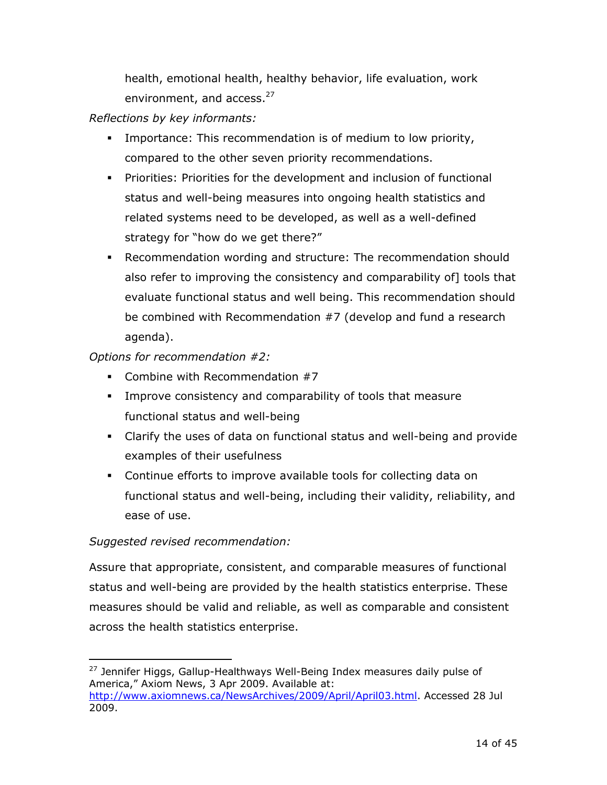health, emotional health, healthy behavior, life evaluation, work environment, and access.<sup>27</sup>

*Reflections by key informants:* 

- Importance: This recommendation is of medium to low priority, compared to the other seven priority recommendations.
- Priorities: Priorities for the development and inclusion of functional status and well-being measures into ongoing health statistics and related systems need to be developed, as well as a well-defined strategy for "how do we get there?"
- Recommendation wording and structure: The recommendation should also refer to improving the consistency and comparability of] tools that evaluate functional status and well being. This recommendation should be combined with Recommendation #7 (develop and fund a research agenda).

### *Options for recommendation #2:*

- Combine with Recommendation  $#7$
- Improve consistency and comparability of tools that measure functional status and well-being
- Clarify the uses of data on functional status and well-being and provide examples of their usefulness
- Continue efforts to improve available tools for collecting data on functional status and well-being, including their validity, reliability, and ease of use.

### *Suggested revised recommendation:*

 $\overline{a}$ 

Assure that appropriate, consistent, and comparable measures of functional status and well-being are provided by the health statistics enterprise. These measures should be valid and reliable, as well as comparable and consistent across the health statistics enterprise.

<sup>&</sup>lt;sup>27</sup> Jennifer Higgs, Gallup-Healthways Well-Being Index measures daily pulse of America," Axiom News, 3 Apr 2009. Available at: http://www.axiomnews.ca/NewsArchives/2009/April/April03.html. Accessed 28 Jul 2009.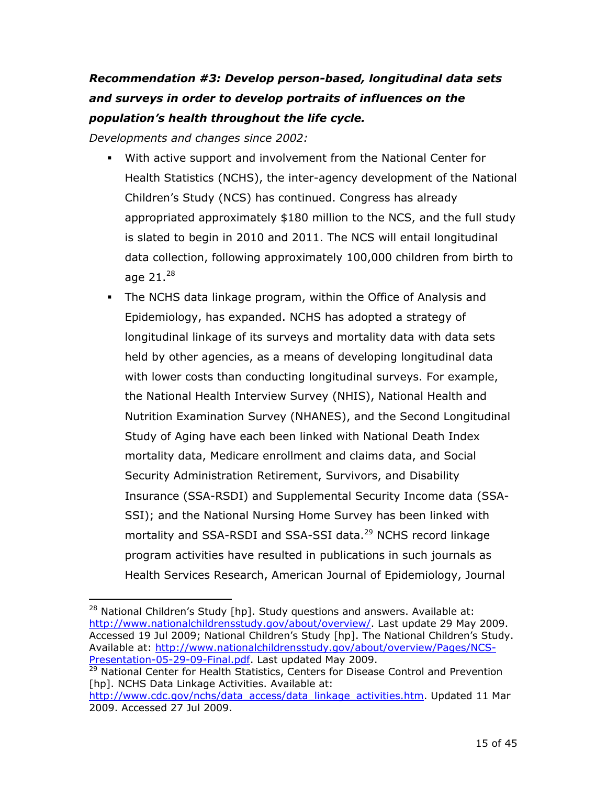# *Recommendation #3: Develop person-based, longitudinal data sets and surveys in order to develop portraits of influences on the population's health throughout the life cycle.*

*Developments and changes since 2002:* 

- With active support and involvement from the National Center for Health Statistics (NCHS), the inter-agency development of the National Children's Study (NCS) has continued. Congress has already appropriated approximately \$180 million to the NCS, and the full study is slated to begin in 2010 and 2011. The NCS will entail longitudinal data collection, following approximately 100,000 children from birth to age  $21.^{28}$
- The NCHS data linkage program, within the Office of Analysis and Epidemiology, has expanded. NCHS has adopted a strategy of longitudinal linkage of its surveys and mortality data with data sets held by other agencies, as a means of developing longitudinal data with lower costs than conducting longitudinal surveys. For example, the National Health Interview Survey (NHIS), National Health and Nutrition Examination Survey (NHANES), and the Second Longitudinal Study of Aging have each been linked with National Death Index mortality data, Medicare enrollment and claims data, and Social Security Administration Retirement, Survivors, and Disability Insurance (SSA-RSDI) and Supplemental Security Income data (SSA-SSI); and the National Nursing Home Survey has been linked with mortality and SSA-RSDI and SSA-SSI data.<sup>29</sup> NCHS record linkage program activities have resulted in publications in such journals as Health Services Research, American Journal of Epidemiology, Journal

 $\overline{a}$  $28$  National Children's Study [hp]. Study questions and answers. Available at: http://www.nationalchildrensstudy.gov/about/overview/. Last update 29 May 2009. Accessed 19 Jul 2009; National Children's Study [hp]. The National Children's Study. Available at: http://www.nationalchildrensstudy.gov/about/overview/Pages/NCS-Presentation-05-29-09-Final.pdf. Last updated May 2009.

 $29$  National Center for Health Statistics, Centers for Disease Control and Prevention [hp]. NCHS Data Linkage Activities. Available at:

http://www.cdc.gov/nchs/data\_access/data\_linkage\_activities.htm. Updated 11 Mar 2009. Accessed 27 Jul 2009.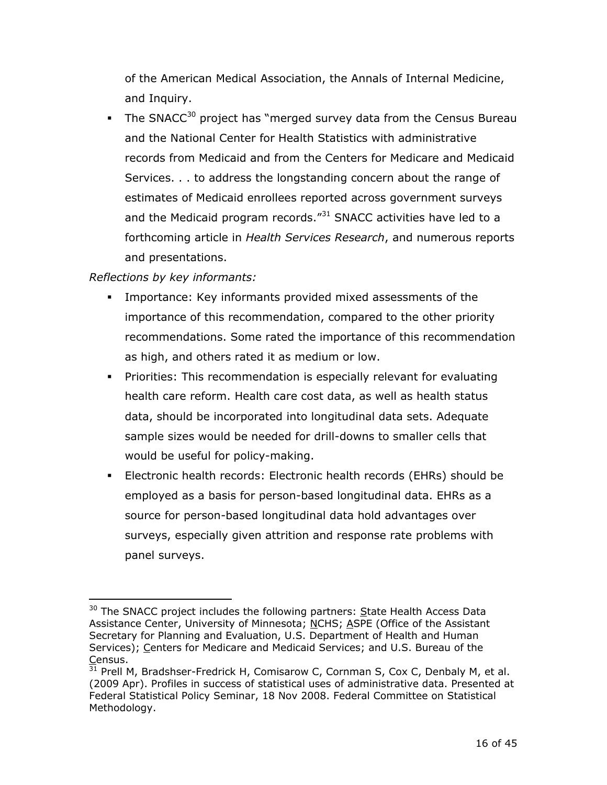of the American Medical Association, the Annals of Internal Medicine, and Inquiry.

The SNACC<sup>30</sup> project has "merged survey data from the Census Bureau and the National Center for Health Statistics with administrative records from Medicaid and from the Centers for Medicare and Medicaid Services. . . to address the longstanding concern about the range of estimates of Medicaid enrollees reported across government surveys and the Medicaid program records.<sup>"31</sup> SNACC activities have led to a forthcoming article in *Health Services Research*, and numerous reports and presentations.

### *Reflections by key informants:*

- Importance: Key informants provided mixed assessments of the importance of this recommendation, compared to the other priority recommendations. Some rated the importance of this recommendation as high, and others rated it as medium or low.
- Priorities: This recommendation is especially relevant for evaluating health care reform. Health care cost data, as well as health status data, should be incorporated into longitudinal data sets. Adequate sample sizes would be needed for drill-downs to smaller cells that would be useful for policy-making.
- Electronic health records: Electronic health records (EHRs) should be employed as a basis for person-based longitudinal data. EHRs as a source for person-based longitudinal data hold advantages over surveys, especially given attrition and response rate problems with panel surveys.

 $\overline{a}$  $30$  The SNACC project includes the following partners: State Health Access Data Assistance Center, University of Minnesota; NCHS; ASPE (Office of the Assistant Secretary for Planning and Evaluation, U.S. Department of Health and Human Services); Centers for Medicare and Medicaid Services; and U.S. Bureau of the Census.

 $\frac{31}{31}$  Prell M, Bradshser-Fredrick H, Comisarow C, Cornman S, Cox C, Denbaly M, et al. (2009 Apr). Profiles in success of statistical uses of administrative data. Presented at Federal Statistical Policy Seminar, 18 Nov 2008. Federal Committee on Statistical Methodology.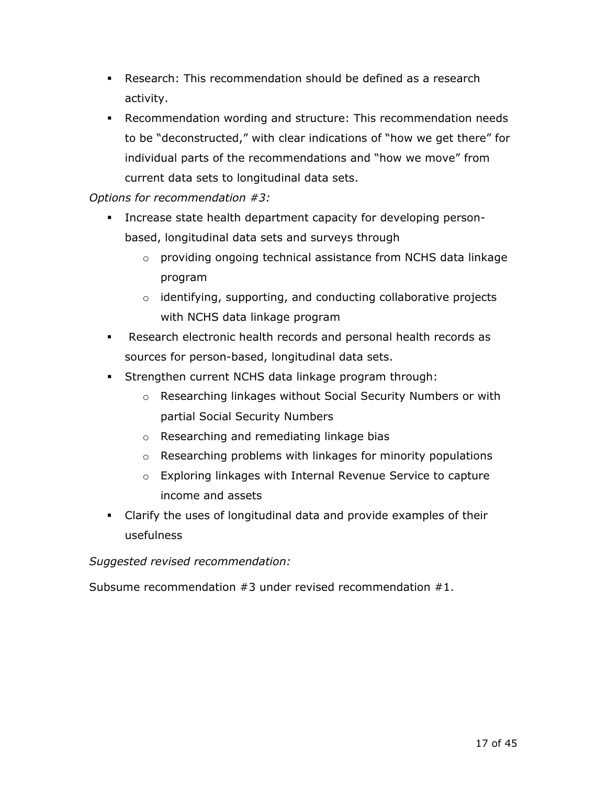- Research: This recommendation should be defined as a research activity.
- individual parts of the recommendations and "how we move" from Recommendation wording and structure: This recommendation needs to be "deconstructed," with clear indications of "how we get there" for current data sets to longitudinal data sets.

### *Options for recommendation #3:*

- Increase state health department capacity for developing personbased, longitudinal data sets and surveys through
	- $\circ$  providing ongoing technical assistance from NCHS data linkage program
	- $\circ$  identifying, supporting, and conducting collaborative projects with NCHS data linkage program
- Research electronic health records and personal health records as sources for person-based, longitudinal data sets.
- Strengthen current NCHS data linkage program through:
	- o Researching linkages without Social Security Numbers or with partial Social Security Numbers
	- o Researching and remediating linkage bias
	- $\circ$  Researching problems with linkages for minority populations
	- $\circ$  Exploring linkages with Internal Revenue Service to capture income and assets
- Clarify the uses of longitudinal data and provide examples of their usefulness

#### *Suggested revised recommendation:*

Subsume recommendation #3 under revised recommendation #1.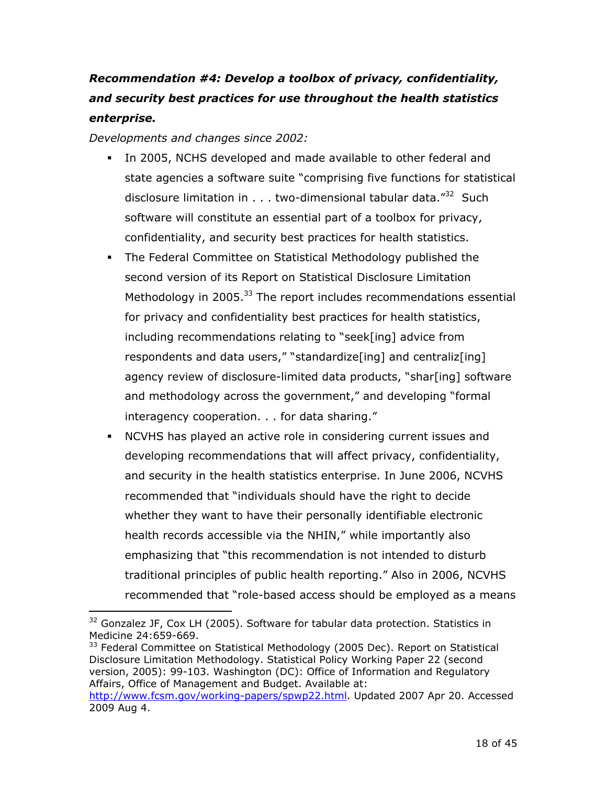# *Recommendation #4: Develop a toolbox of privacy, confidentiality, and security best practices for use throughout the health statistics enterprise.*

*Developments and changes since 2002:* 

- disclosure limitation in . . . two-dimensional tabular data."<sup>32</sup> Such In 2005, NCHS developed and made available to other federal and state agencies a software suite "comprising five functions for statistical software will constitute an essential part of a toolbox for privacy, confidentiality, and security best practices for health statistics.
- second version of its Report on Statistical Disclosure Limitation interagency cooperation. . . for data sharing." The Federal Committee on Statistical Methodology published the Methodology in 2005.<sup>33</sup> The report includes recommendations essential for privacy and confidentiality best practices for health statistics, including recommendations relating to "seek[ing] advice from respondents and data users," "standardize[ing] and centraliz[ing] agency review of disclosure-limited data products, "shar[ing] software and methodology across the government," and developing "formal
- NCVHS has played an active role in considering current issues and developing recommendations that will affect privacy, confidentiality, and security in the health statistics enterprise. In June 2006, NCVHS recommended that "individuals should have the right to decide whether they want to have their personally identifiable electronic health records accessible via the NHIN," while importantly also emphasizing that "this recommendation is not intended to disturb traditional principles of public health reporting." Also in 2006, NCVHS recommended that "role-based access should be employed as a means

<sup>33</sup> Federal Committee on Statistical Methodology (2005 Dec). Report on Statistical Disclosure Limitation Methodology. Statistical Policy Working Paper 22 (second version, 2005): 99-103. Washington (DC): Office of Information and Regulatory Affairs, Office of Management and Budget. Available at:

 $\overline{a}$ <sup>32</sup> Gonzalez JF, Cox LH (2005). Software for tabular data protection. Statistics in Medicine 24:659-669.

<sup>2009</sup> Aug 4. http://www.fcsm.gov/working-papers/spwp22.html. Updated 2007 Apr 20. Accessed 2009 Aug 4.<br>18 of 45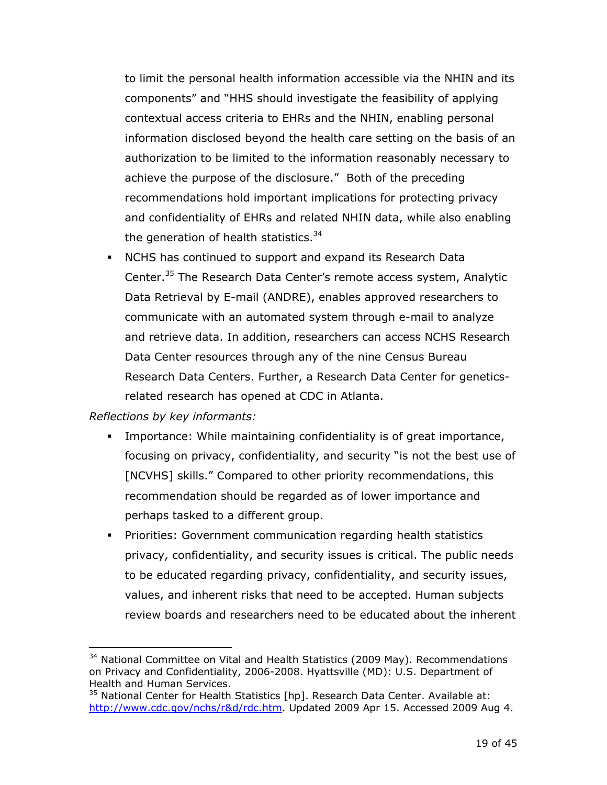achieve the purpose of the disclosure." Both of the preceding the generation of health statistics.<sup>34</sup> to limit the personal health information accessible via the NHIN and its components" and "HHS should investigate the feasibility of applying contextual access criteria to EHRs and the NHIN, enabling personal information disclosed beyond the health care setting on the basis of an authorization to be limited to the information reasonably necessary to recommendations hold important implications for protecting privacy and confidentiality of EHRs and related NHIN data, while also enabling

 NCHS has continued to support and expand its Research Data Center.35 The Research Data Center's remote access system, Analytic Data Retrieval by E-mail (ANDRE), enables approved researchers to communicate with an automated system through e-mail to analyze and retrieve data. In addition, researchers can access NCHS Research Data Center resources through any of the nine Census Bureau Research Data Centers. Further, a Research Data Center for geneticsrelated research has opened at CDC in Atlanta.

#### *Reflections by key informants:*

- Importance: While maintaining confidentiality is of great importance, focusing on privacy, confidentiality, and security "is not the best use of [NCVHS] skills." Compared to other priority recommendations, this recommendation should be regarded as of lower importance and perhaps tasked to a different group.
- Priorities: Government communication regarding health statistics privacy, confidentiality, and security issues is critical. The public needs to be educated regarding privacy, confidentiality, and security issues, values, and inherent risks that need to be accepted. Human subjects review boards and researchers need to be educated about the inherent

<sup>&</sup>lt;sup>34</sup> National Committee on Vital and Health Statistics (2009 May). Recommendations on Privacy and Confidentiality, 2006-2008. Hyattsville (MD): U.S. Department of Health and Human Services.

 $35$  National Center for Health Statistics [hp]. Research Data Center. Available at: http://www.cdc.gov/nchs/r&d/rdc.htm. Updated 2009 Apr 15. Accessed 2009 Aug 4.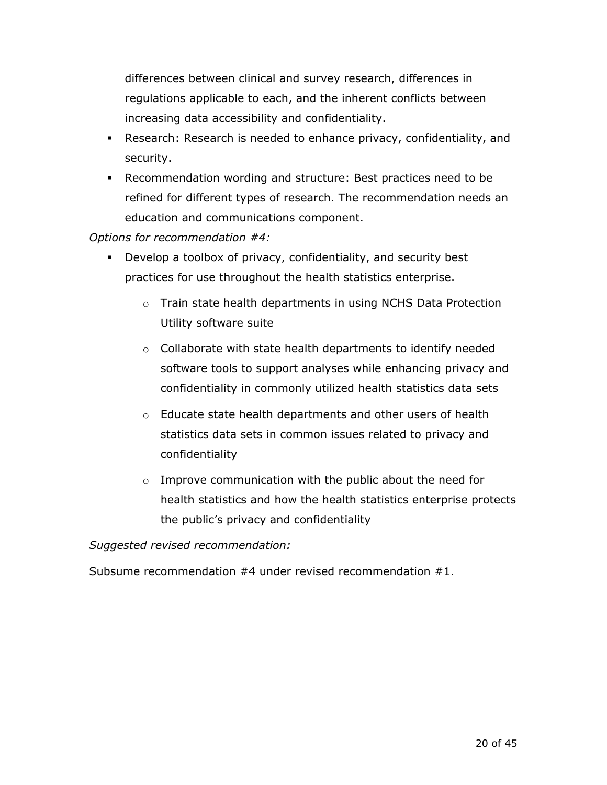differences between clinical and survey research, differences in regulations applicable to each, and the inherent conflicts between increasing data accessibility and confidentiality.

- Research: Research is needed to enhance privacy, confidentiality, and security.
- Recommendation wording and structure: Best practices need to be refined for different types of research. The recommendation needs an education and communications component.

*Options for recommendation #4:* 

- Develop a toolbox of privacy, confidentiality, and security best practices for use throughout the health statistics enterprise.
	- $\circ$  Train state health departments in using NCHS Data Protection Utility software suite
	- $\circ$  Collaborate with state health departments to identify needed software tools to support analyses while enhancing privacy and confidentiality in commonly utilized health statistics data sets
	- $\circ$  Educate state health departments and other users of health statistics data sets in common issues related to privacy and confidentiality
	- $\circ$  Improve communication with the public about the need for health statistics and how the health statistics enterprise protects the public's privacy and confidentiality

*Suggested revised recommendation:* 

Subsume recommendation #4 under revised recommendation #1.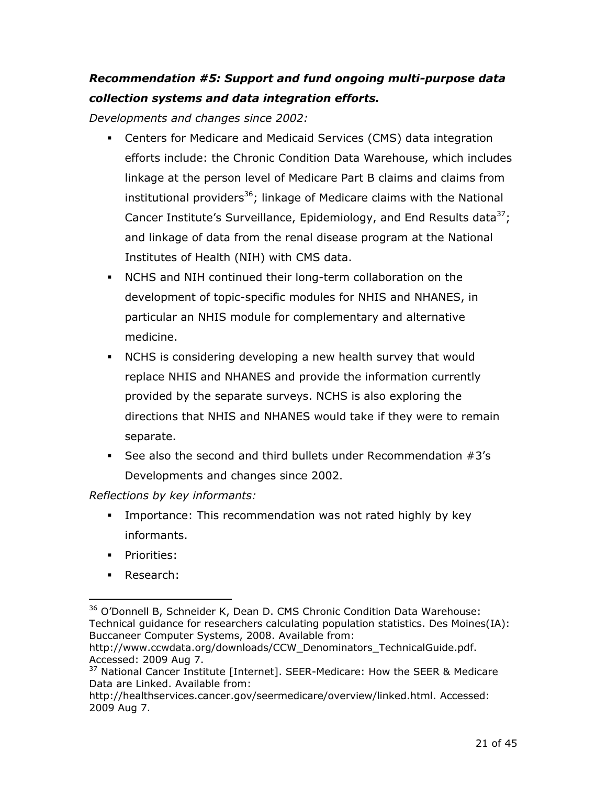## *Recommendation #5: Support and fund ongoing multi-purpose data collection systems and data integration efforts.*

*Developments and changes since 2002:* 

- linkage at the person level of Medicare Part B claims and claims from Centers for Medicare and Medicaid Services (CMS) data integration efforts include: the Chronic Condition Data Warehouse, which includes institutional providers<sup>36</sup>; linkage of Medicare claims with the National Cancer Institute's Surveillance, Epidemiology, and End Results data<sup>37</sup>; and linkage of data from the renal disease program at the National Institutes of Health (NIH) with CMS data.
- NCHS and NIH continued their long-term collaboration on the development of topic-specific modules for NHIS and NHANES, in particular an NHIS module for complementary and alternative medicine.
- NCHS is considering developing a new health survey that would replace NHIS and NHANES and provide the information currently provided by the separate surveys. NCHS is also exploring the directions that NHIS and NHANES would take if they were to remain separate.
- See also the second and third bullets under Recommendation  $#3's$ Developments and changes since 2002.

### *Reflections by key informants:*

- Importance: This recommendation was not rated highly by key informants.
- **Priorities:**
- **Research:**

<sup>&</sup>lt;sup>36</sup> O'Donnell B, Schneider K, Dean D. CMS Chronic Condition Data Warehouse: Technical guidance for researchers calculating population statistics. Des Moines(IA): Buccaneer Computer Systems, 2008. Available from:

http://www.ccwdata.org/downloads/CCW\_Denominators\_TechnicalGuide.pdf. Accessed: 2009 Aug 7.

<sup>&</sup>lt;sup>37</sup> National Cancer Institute [Internet]. SEER-Medicare: How the SEER & Medicare Data are Linked. Available from:

http://healthservices.cancer.gov/seermedicare/overview/linked.html. Accessed: 2009 Aug 7.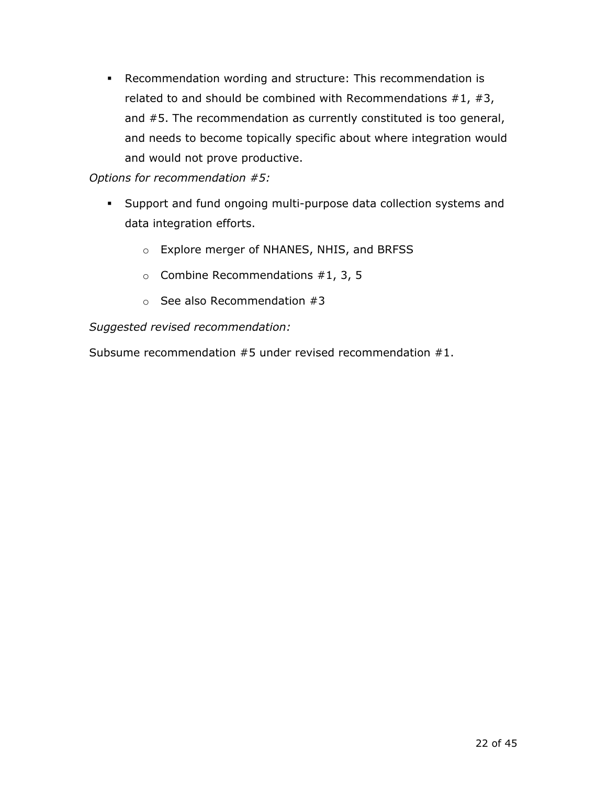Recommendation wording and structure: This recommendation is related to and should be combined with Recommendations  $#1, #3,$ and #5. The recommendation as currently constituted is too general, and needs to become topically specific about where integration would and would not prove productive.

*Options for recommendation #5:* 

- Support and fund ongoing multi-purpose data collection systems and data integration efforts.
	- o Explore merger of NHANES, NHIS, and BRFSS
	- $\circ$  Combine Recommendations #1, 3, 5
	- $\circ$  See also Recommendation #3

*Suggested revised recommendation:* 

Subsume recommendation #5 under revised recommendation #1.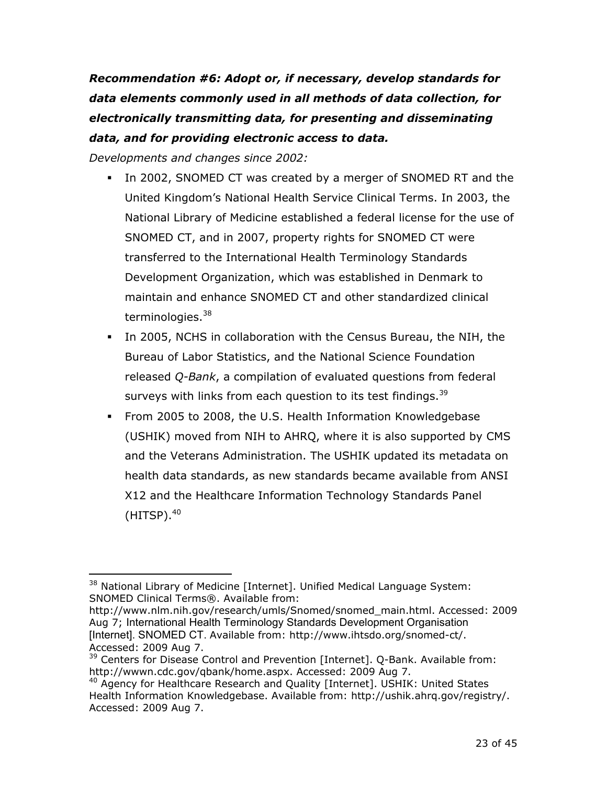*Recommendation #6: Adopt or, if necessary, develop standards for data elements commonly used in all methods of data collection, for electronically transmitting data, for presenting and disseminating data, and for providing electronic access to data.* 

*Developments and changes since 2002:* 

- In 2002, SNOMED CT was created by a merger of SNOMED RT and the United Kingdom's National Health Service Clinical Terms. In 2003, the National Library of Medicine established a federal license for the use of SNOMED CT, and in 2007, property rights for SNOMED CT were transferred to the International Health Terminology Standards Development Organization, which was established in Denmark to maintain and enhance SNOMED CT and other standardized clinical terminologies.<sup>38</sup>
- In 2005, NCHS in collaboration with the Census Bureau, the NIH, the Bureau of Labor Statistics, and the National Science Foundation released *Q-Bank*, a compilation of evaluated questions from federal surveys with links from each question to its test findings.<sup>39</sup>
- (USHIK) moved from NIH to AHRQ, where it is also supported by CMS From 2005 to 2008, the U.S. Health Information Knowledgebase and the Veterans Administration. The USHIK updated its metadata on health data standards, as new standards became available from ANSI X12 and the Healthcare Information Technology Standards Panel  $(HITSP)$ .<sup>40</sup>

 $\overline{a}$ <sup>38</sup> National Library of Medicine [Internet]. Unified Medical Language System: SNOMED Clinical Terms®. Available from:

http://www.nlm.nih.gov/research/umls/Snomed/snomed\_main.html. Accessed: 2009 Aug 7; International Health Terminology Standards Development Organisation [Internet]. SNOMED CT. Available from: http://www.ihtsdo.org/snomed-ct/. Accessed: 2009 Aug 7.

<sup>&</sup>lt;sup>39</sup> Centers for Disease Control and Prevention [Internet]. Q-Bank. Available from: http://wwwn.cdc.gov/qbank/home.aspx. Accessed: 2009 Aug 7.<br><sup>40</sup> Agency for Healthcare Research and Quality [Internet]. USHIK: United States

Health Information Knowledgebase. Available from: http://ushik.ahrq.gov/registry/. Accessed: 2009 Aug 7.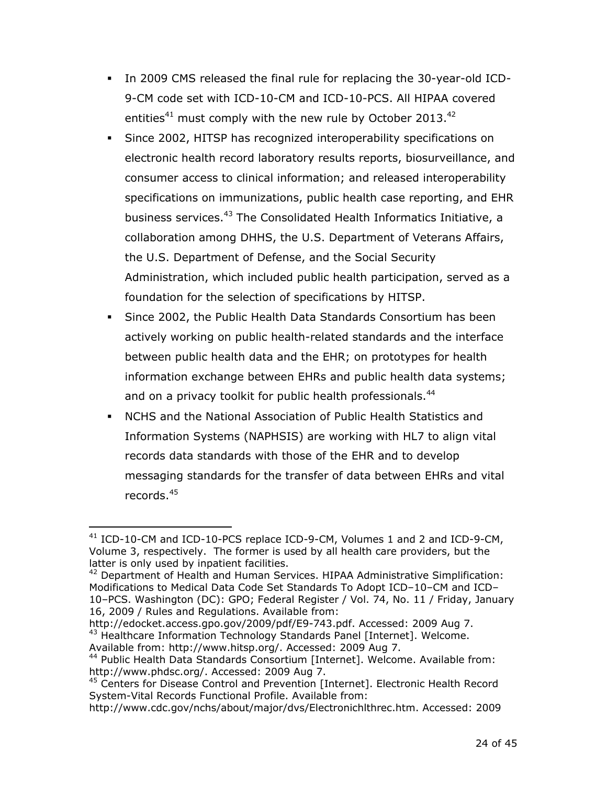- In 2009 CMS released the final rule for replacing the 30-year-old ICD-9-CM code set with ICD-10-CM and ICD-10-PCS. All HIPAA covered entities<sup>41</sup> must comply with the new rule by October 2013.<sup>42</sup>
- foundation for the selection of specifications by HITSP. Since 2002, HITSP has recognized interoperability specifications on electronic health record laboratory results reports, biosurveillance, and consumer access to clinical information; and released interoperability specifications on immunizations, public health case reporting, and EHR business services.<sup>43</sup> The Consolidated Health Informatics Initiative, a collaboration among DHHS, the U.S. Department of Veterans Affairs, the U.S. Department of Defense, and the Social Security Administration, which included public health participation, served as a
- Since 2002, the Public Health Data Standards Consortium has been actively working on public health-related standards and the interface between public health data and the EHR; on prototypes for health information exchange between EHRs and public health data systems; and on a privacy toolkit for public health professionals.<sup>44</sup>
- NCHS and the National Association of Public Health Statistics and Information Systems (NAPHSIS) are working with HL7 to align vital records data standards with those of the EHR and to develop messaging standards for the transfer of data between EHRs and vital records.<sup>45</sup>

 $\overline{a}$ latter is only used by inpatient facilities. 41 ICD-10-CM and ICD-10-PCS replace ICD-9-CM, Volumes 1 and 2 and ICD-9-CM, Volume 3, respectively. The former is used by all health care providers, but the

<sup>&</sup>lt;sup>42</sup> Department of Health and Human Services. HIPAA Administrative Simplification: Modifications to Medical Data Code Set Standards To Adopt ICD–10–CM and ICD– 10–PCS. Washington (DC): GPO; Federal Register / Vol. 74, No. 11 / Friday, January 16, 2009 / Rules and Regulations. Available from:

http://edocket.access.gpo.gov/2009/pdf/E9-743.pdf. Accessed: 2009 Aug 7. <sup>43</sup> Healthcare Information Technology Standards Panel [Internet]. Welcome.

Available from: http://www.hitsp.org/. Accessed: 2009 Aug 7.<br><sup>44</sup> Public Health Data Standards Consortium [Internet]. Welcome. Available from: http://www.phdsc.org/. Accessed: 2009 Aug 7.<br><sup>45</sup> Centers for Disease Control and Prevention [Internet]. Electronic Health Record

System-Vital Records Functional Profile. Available from:

http://www.cdc.gov/nchs/about/major/dvs/Electronichlthrec.htm. Accessed: 2009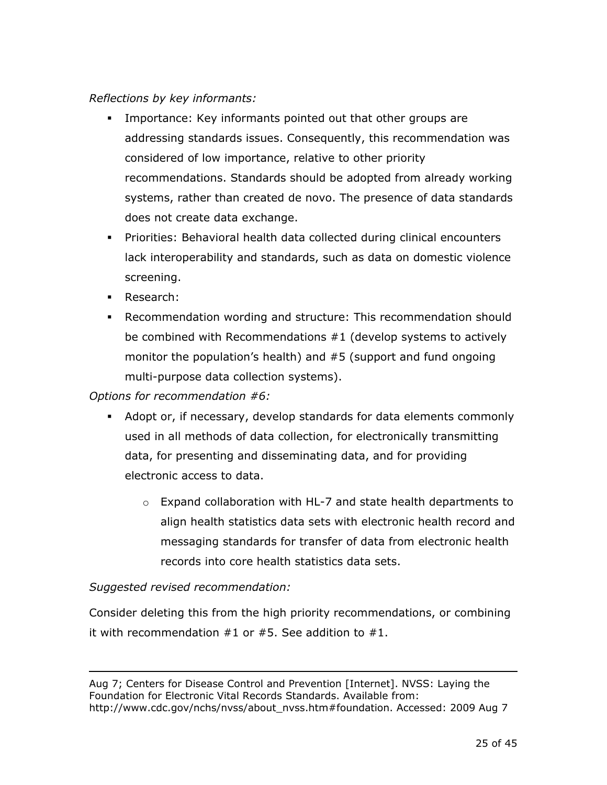#### *Reflections by key informants:*

- Importance: Key informants pointed out that other groups are addressing standards issues. Consequently, this recommendation was considered of low importance, relative to other priority recommendations. Standards should be adopted from already working systems, rather than created de novo. The presence of data standards does not create data exchange.
- Priorities: Behavioral health data collected during clinical encounters lack interoperability and standards, such as data on domestic violence screening.
- **Research:**
- Recommendation wording and structure: This recommendation should be combined with Recommendations #1 (develop systems to actively monitor the population's health) and #5 (support and fund ongoing multi-purpose data collection systems).

#### *Options for recommendation #6:*

- Adopt or, if necessary, develop standards for data elements commonly used in all methods of data collection, for electronically transmitting data, for presenting and disseminating data, and for providing electronic access to data.
	- $\circ$  Expand collaboration with HL-7 and state health departments to align health statistics data sets with electronic health record and messaging standards for transfer of data from electronic health records into core health statistics data sets.

### *Suggested revised recommendation:*

 $\overline{a}$ 

Consider deleting this from the high priority recommendations, or combining it with recommendation  $#1$  or  $#5$ . See addition to  $#1$ .

#### Aug 7; Centers for Disease Control and Prevention [Internet]. NVSS: Laying the Foundation for Electronic Vital Records Standards. Available from: http://www.cdc.gov/nchs/nvss/about\_nvss.htm#foundation. Accessed: 2009 Aug 7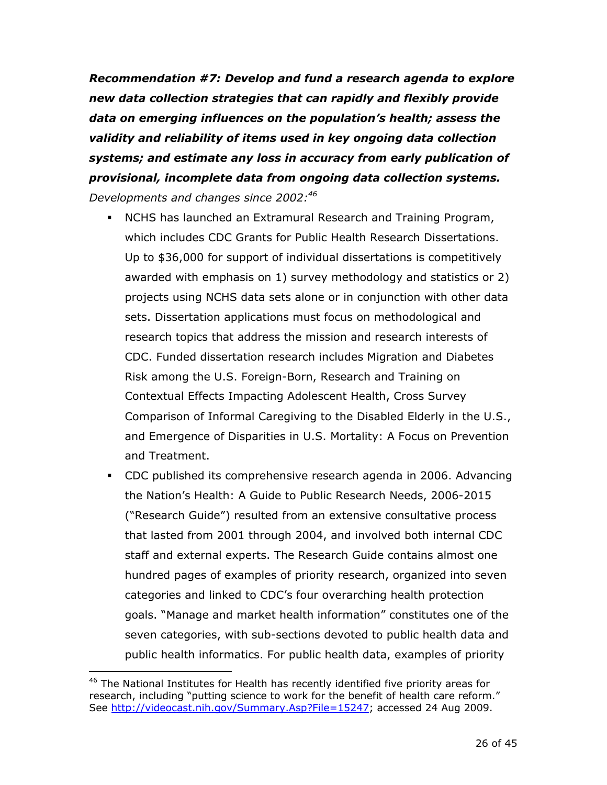*Recommendation #7: Develop and fund a research agenda to explore new data collection strategies that can rapidly and flexibly provide data on emerging influences on the population's health; assess the validity and reliability of items used in key ongoing data collection systems; and estimate any loss in accuracy from early publication of provisional, incomplete data from ongoing data collection systems. Developments and changes since 2002:46* 

- NCHS has launched an Extramural Research and Training Program, which includes CDC Grants for Public Health Research Dissertations. Up to \$36,000 for support of individual dissertations is competitively awarded with emphasis on 1) survey methodology and statistics or 2) projects using NCHS data sets alone or in conjunction with other data sets. Dissertation applications must focus on methodological and research topics that address the mission and research interests of CDC. Funded dissertation research includes Migration and Diabetes Risk among the U.S. Foreign-Born, Research and Training on Contextual Effects Impacting Adolescent Health, Cross Survey Comparison of Informal Caregiving to the Disabled Elderly in the U.S., and Emergence of Disparities in U.S. Mortality: A Focus on Prevention and Treatment.
- CDC published its comprehensive research agenda in 2006. Advancing the Nation's Health: A Guide to Public Research Needs, 2006-2015 ("Research Guide") resulted from an extensive consultative process that lasted from 2001 through 2004, and involved both internal CDC staff and external experts. The Research Guide contains almost one hundred pages of examples of priority research, organized into seven categories and linked to CDC's four overarching health protection goals. "Manage and market health information" constitutes one of the seven categories, with sub-sections devoted to public health data and public health informatics. For public health data, examples of priority

<sup>&</sup>lt;sup>46</sup> The National Institutes for Health has recently identified five priority areas for research, including "putting science to work for the benefit of health care reform." See http://videocast.nih.gov/Summary.Asp?File=15247; accessed 24 Aug 2009.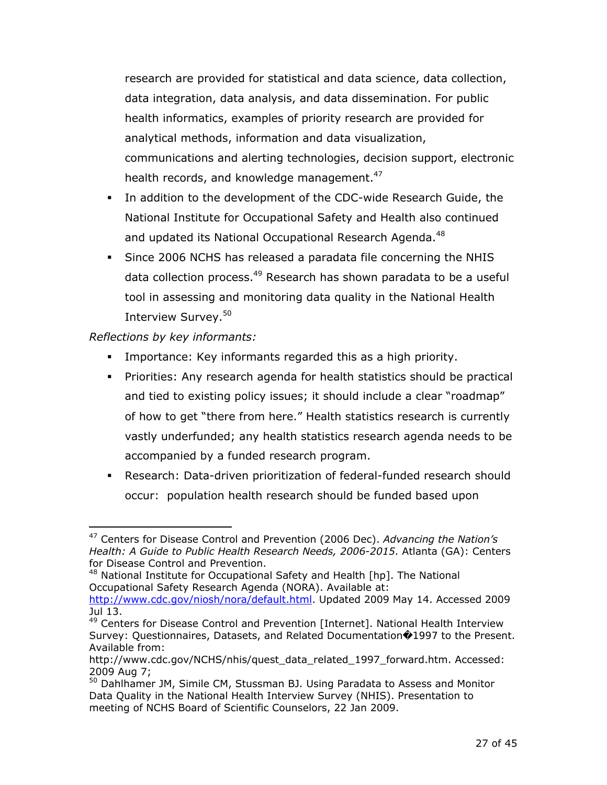research are provided for statistical and data science, data collection, data integration, data analysis, and data dissemination. For public health informatics, examples of priority research are provided for analytical methods, information and data visualization, communications and alerting technologies, decision support, electronic health records, and knowledge management.<sup>47</sup>

- In addition to the development of the CDC-wide Research Guide, the National Institute for Occupational Safety and Health also continued and updated its National Occupational Research Agenda.<sup>48</sup>
- Since 2006 NCHS has released a paradata file concerning the NHIS data collection process.<sup>49</sup> Research has shown paradata to be a useful tool in assessing and monitoring data quality in the National Health Interview Survey.<sup>50</sup>

*Reflections by key informants:* 

- Importance: Key informants regarded this as a high priority.
- Priorities: Any research agenda for health statistics should be practical and tied to existing policy issues; it should include a clear "roadmap" of how to get "there from here." Health statistics research is currently vastly underfunded; any health statistics research agenda needs to be accompanied by a funded research program.
- Research: Data-driven prioritization of federal-funded research should occur: population health research should be funded based upon

48 National Institute for Occupational Safety and Health [hp]. The National Occupational Safety Research Agenda (NORA). Available at: http://www.cdc.gov/niosh/nora/default.html. Updated 2009 May 14. Accessed 2009

 $\overline{a}$ 47 Centers for Disease Control and Prevention (2006 Dec). *Advancing the Nation's Health: A Guide to Public Health Research Needs, 2006-2015*. Atlanta (GA): Centers for Disease Control and Prevention.

Jul 13.

<sup>49</sup> Centers for Disease Control and Prevention [Internet]. National Health Interview Survey: Questionnaires, Datasets, and Related Documentation 1997 to the Present. Available from:

<sup>2009</sup> Aug 7; http://www.cdc.gov/NCHS/nhis/quest\_data\_related\_1997\_forward.htm. Accessed:

<sup>&</sup>lt;sup>50</sup> Dahlhamer JM, Simile CM, Stussman BJ. Using Paradata to Assess and Monitor Data Quality in the National Health Interview Survey (NHIS). Presentation to meeting of NCHS Board of Scientific Counselors, 22 Jan 2009.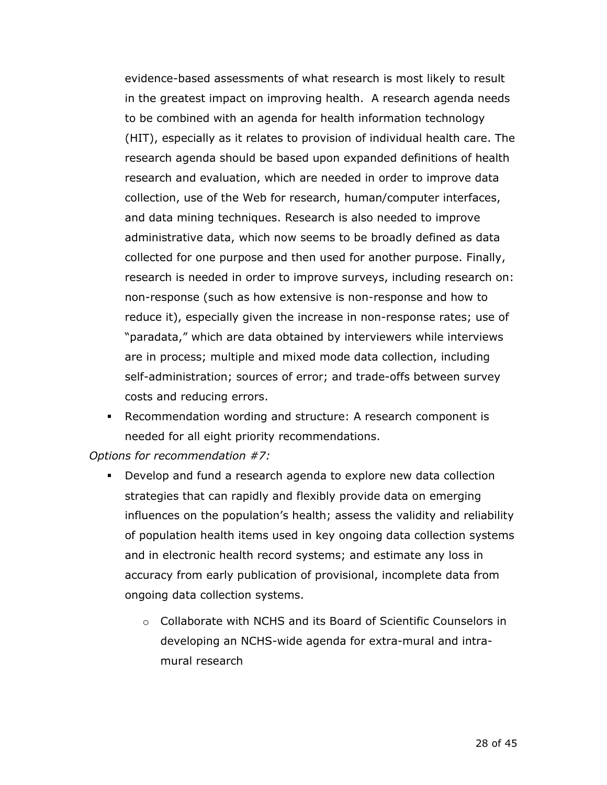evidence-based assessments of what research is most likely to result in the greatest impact on improving health. A research agenda needs to be combined with an agenda for health information technology (HIT), especially as it relates to provision of individual health care. The research agenda should be based upon expanded definitions of health research and evaluation, which are needed in order to improve data collection, use of the Web for research, human/computer interfaces, and data mining techniques. Research is also needed to improve administrative data, which now seems to be broadly defined as data collected for one purpose and then used for another purpose. Finally, research is needed in order to improve surveys, including research on: non-response (such as how extensive is non-response and how to reduce it), especially given the increase in non-response rates; use of "paradata," which are data obtained by interviewers while interviews are in process; multiple and mixed mode data collection, including self-administration; sources of error; and trade-offs between survey costs and reducing errors.

 Recommendation wording and structure: A research component is needed for all eight priority recommendations.

*Options for recommendation #7:* 

- accuracy from early publication of provisional, incomplete data from ongoing data collection systems. Develop and fund a research agenda to explore new data collection strategies that can rapidly and flexibly provide data on emerging influences on the population's health; assess the validity and reliability of population health items used in key ongoing data collection systems and in electronic health record systems; and estimate any loss in
	- o Collaborate with NCHS and its Board of Scientific Counselors in developing an NCHS-wide agenda for extra-mural and intramural research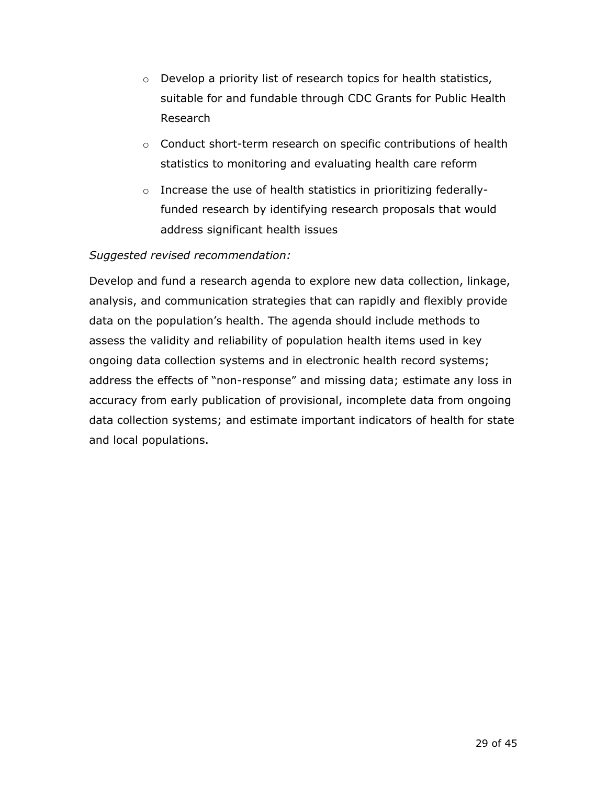- $\circ$  Develop a priority list of research topics for health statistics, suitable for and fundable through CDC Grants for Public Health Research
- $\circ$  Conduct short-term research on specific contributions of health statistics to monitoring and evaluating health care reform
- $\circ$  Increase the use of health statistics in prioritizing federallyfunded research by identifying research proposals that would address significant health issues

### *Suggested revised recommendation:*

Develop and fund a research agenda to explore new data collection, linkage, analysis, and communication strategies that can rapidly and flexibly provide data on the population's health. The agenda should include methods to assess the validity and reliability of population health items used in key ongoing data collection systems and in electronic health record systems; address the effects of "non-response" and missing data; estimate any loss in accuracy from early publication of provisional, incomplete data from ongoing data collection systems; and estimate important indicators of health for state and local populations.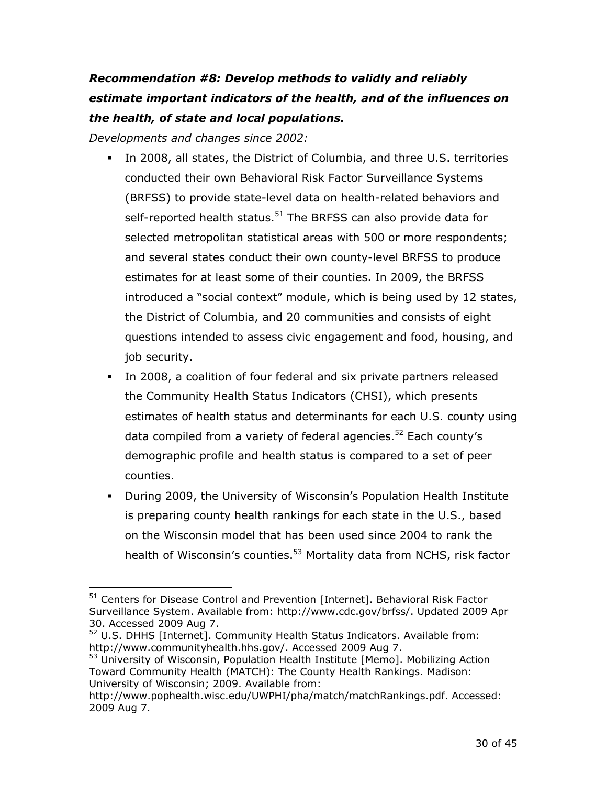# *Recommendation #8: Develop methods to validly and reliably estimate important indicators of the health, and of the influences on the health, of state and local populations.*

*Developments and changes since 2002:* 

- conducted their own Behavioral Risk Factor Surveillance Systems In 2008, all states, the District of Columbia, and three U.S. territories (BRFSS) to provide state-level data on health-related behaviors and self-reported health status.<sup>51</sup> The BRFSS can also provide data for selected metropolitan statistical areas with 500 or more respondents; and several states conduct their own county-level BRFSS to produce estimates for at least some of their counties. In 2009, the BRFSS introduced a "social context" module, which is being used by 12 states, the District of Columbia, and 20 communities and consists of eight questions intended to assess civic engagement and food, housing, and job security.
- In 2008, a coalition of four federal and six private partners released the Community Health Status Indicators (CHSI), which presents estimates of health status and determinants for each U.S. county using data compiled from a variety of federal agencies.<sup>52</sup> Each county's demographic profile and health status is compared to a set of peer counties.
- During 2009, the University of Wisconsin's Population Health Institute health of Wisconsin's counties.<sup>53</sup> Mortality data from NCHS, risk factor is preparing county health rankings for each state in the U.S., based on the Wisconsin model that has been used since 2004 to rank the

 $\overline{a}$ <sup>51</sup> Centers for Disease Control and Prevention [Internet]. Behavioral Risk Factor Surveillance System. Available from: http://www.cdc.gov/brfss/. Updated 2009 Apr 30. Accessed 2009 Aug 7.

 $52$  U.S. DHHS [Internet]. Community Health Status Indicators. Available from: http://www.communityhealth.hhs.gov/. Accessed 2009 Aug 7.<br><sup>53</sup> University of Wisconsin, Population Health Institute [Memo]. Mobilizing Action

Toward Community Health (MATCH): The County Health Rankings. Madison: University of Wisconsin; 2009. Available from:

http://www.pophealth.wisc.edu/UWPHI/pha/match/matchRankings.pdf. Accessed: 2009 Aug 7.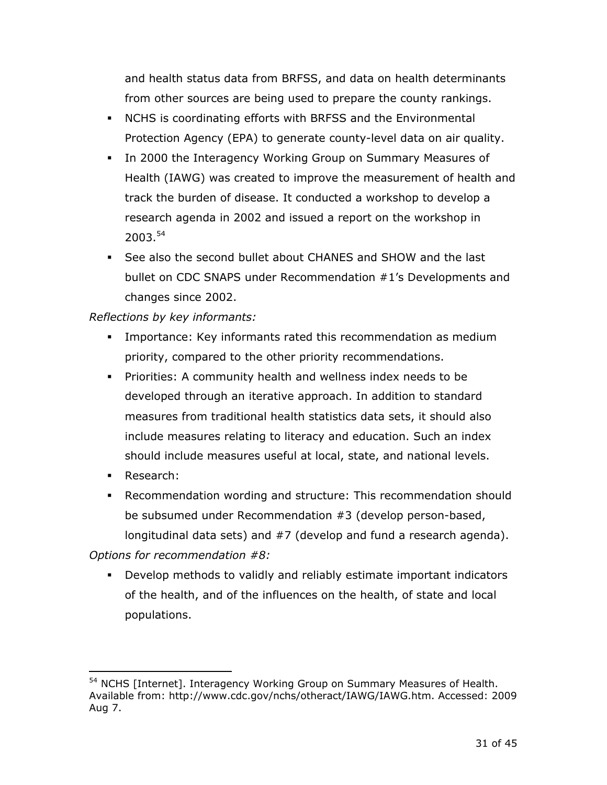and health status data from BRFSS, and data on health determinants from other sources are being used to prepare the county rankings.

- NCHS is coordinating efforts with BRFSS and the Environmental Protection Agency (EPA) to generate county-level data on air quality.
- In 2000 the Interagency Working Group on Summary Measures of Health (IAWG) was created to improve the measurement of health and track the burden of disease. It conducted a workshop to develop a research agenda in 2002 and issued a report on the workshop in 2003.<sup>54</sup>
- See also the second bullet about CHANES and SHOW and the last bullet on CDC SNAPS under Recommendation #1's Developments and changes since 2002.

### *Reflections by key informants:*

- Importance: Key informants rated this recommendation as medium priority, compared to the other priority recommendations.
- Priorities: A community health and wellness index needs to be developed through an iterative approach. In addition to standard measures from traditional health statistics data sets, it should also include measures relating to literacy and education. Such an index should include measures useful at local, state, and national levels.
- **Research:**

 $\overline{a}$ 

 Recommendation wording and structure: This recommendation should be subsumed under Recommendation #3 (develop person-based, longitudinal data sets) and #7 (develop and fund a research agenda).

*Options for recommendation #8:* 

 Develop methods to validly and reliably estimate important indicators of the health, and of the influences on the health, of state and local populations.

<sup>&</sup>lt;sup>54</sup> NCHS [Internet]. Interagency Working Group on Summary Measures of Health. Available from: http://www.cdc.gov/nchs/otheract/IAWG/IAWG.htm. Accessed: 2009 Aug 7.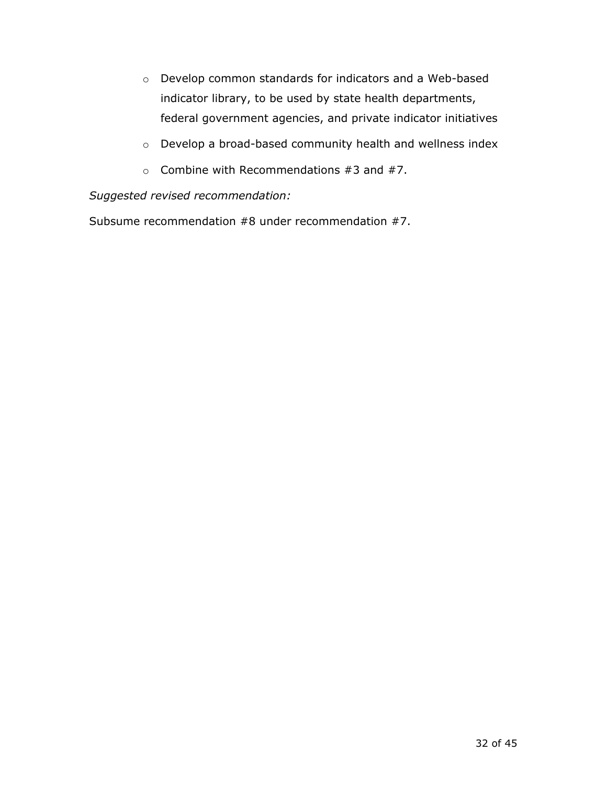- o Develop common standards for indicators and a Web-based indicator library, to be used by state health departments, federal government agencies, and private indicator initiatives
- o Develop a broad-based community health and wellness index
- $\circ$  Combine with Recommendations #3 and #7.

*Suggested revised recommendation:* 

Subsume recommendation #8 under recommendation #7.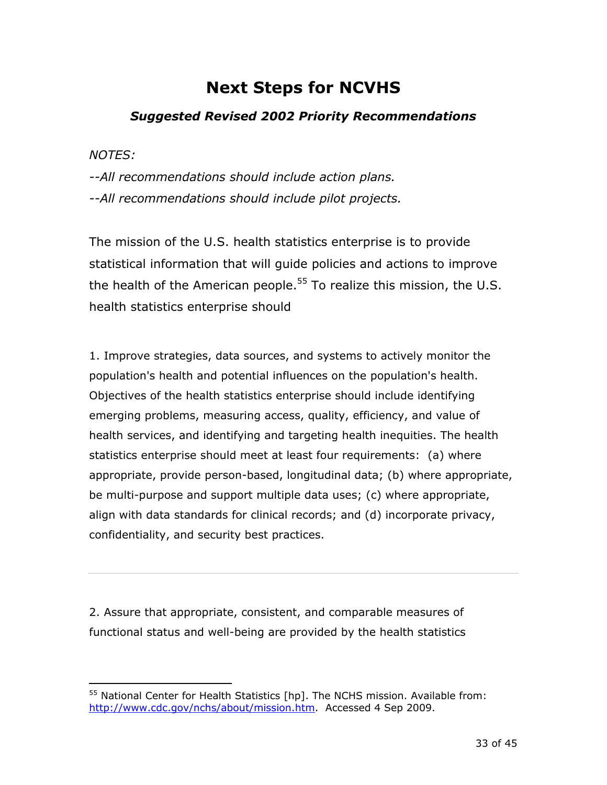# **Next Steps for NCVHS**

## *Suggested Revised 2002 Priority Recommendations*

*NOTES:* 

 $\overline{a}$ 

*--All recommendations should include action plans. --All recommendations should include pilot projects.* 

The mission of the U.S. health statistics enterprise is to provide statistical information that will guide policies and actions to improve the health of the American people.<sup>55</sup> To realize this mission, the U.S. health statistics enterprise should

 confidentiality, and security best practices. 1. Improve strategies, data sources, and systems to actively monitor the population's health and potential influences on the population's health. Objectives of the health statistics enterprise should include identifying emerging problems, measuring access, quality, efficiency, and value of health services, and identifying and targeting health inequities. The health statistics enterprise should meet at least four requirements: (a) where appropriate, provide person-based, longitudinal data; (b) where appropriate, be multi-purpose and support multiple data uses; (c) where appropriate, align with data standards for clinical records; and (d) incorporate privacy,

2. Assure that appropriate, consistent, and comparable measures of functional status and well-being are provided by the health statistics

 $55$  National Center for Health Statistics [hp]. The NCHS mission. Available from: http://www.cdc.gov/nchs/about/mission.htm. Accessed 4 Sep 2009.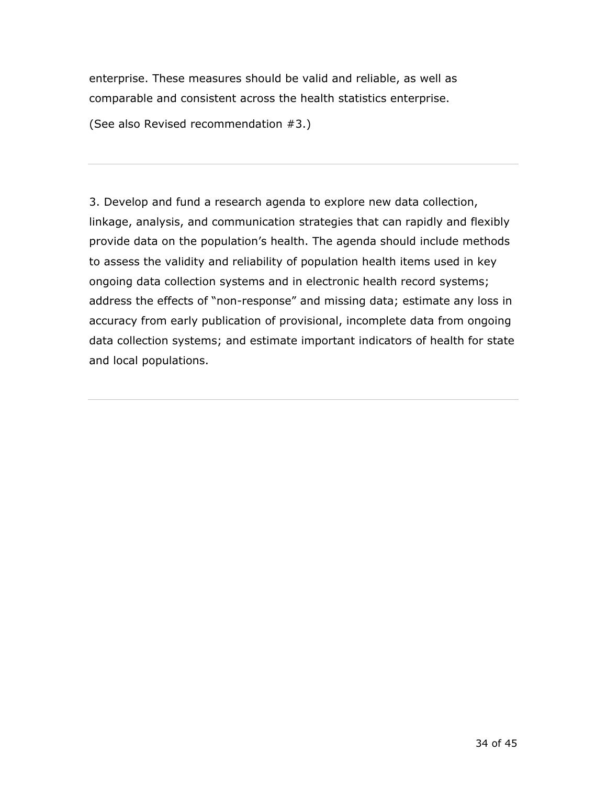enterprise. These measures should be valid and reliable, as well as comparable and consistent across the health statistics enterprise.

(See also Revised recommendation #3.)

3. Develop and fund a research agenda to explore new data collection, linkage, analysis, and communication strategies that can rapidly and flexibly provide data on the population's health. The agenda should include methods to assess the validity and reliability of population health items used in key ongoing data collection systems and in electronic health record systems; address the effects of "non-response" and missing data; estimate any loss in accuracy from early publication of provisional, incomplete data from ongoing data collection systems; and estimate important indicators of health for state and local populations.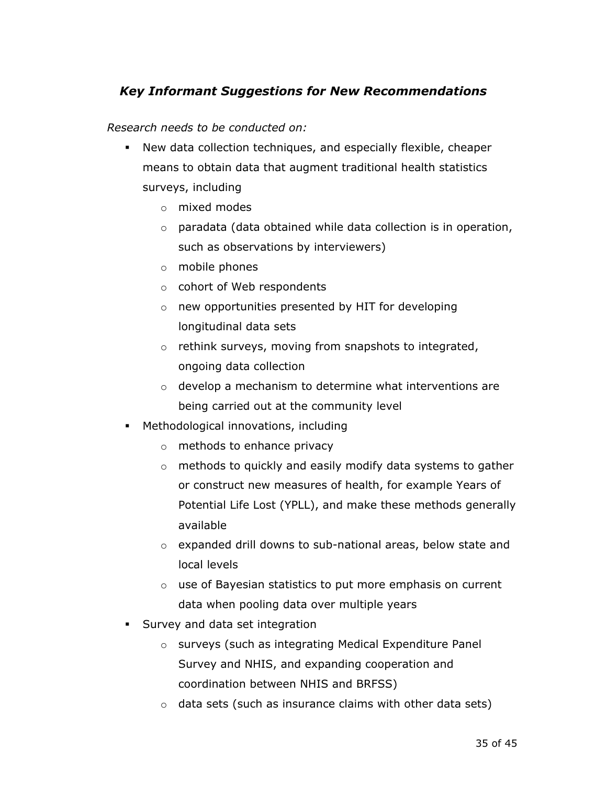## *Key Informant Suggestions for New Recommendations*

*Research needs to be conducted on:* 

- New data collection techniques, and especially flexible, cheaper means to obtain data that augment traditional health statistics surveys, including
	- $\circ$  mixed modes
	- $\circ$  paradata (data obtained while data collection is in operation, such as observations by interviewers)
	- $\circ$  mobile phones
	- $\circ$  cohort of Web respondents
	- $\circ$  new opportunities presented by HIT for developing longitudinal data sets
	- $\circ$  rethink surveys, moving from snapshots to integrated, ongoing data collection
	- $\circ$  develop a mechanism to determine what interventions are being carried out at the community level
- Methodological innovations, including
	- $\circ$  methods to enhance privacy
	- $\circ$  methods to quickly and easily modify data systems to gather or construct new measures of health, for example Years of Potential Life Lost (YPLL), and make these methods generally available
	- $\circ$  expanded drill downs to sub-national areas, below state and local levels
	- $\circ$  use of Bayesian statistics to put more emphasis on current data when pooling data over multiple years
- **Survey and data set integration** 
	- o surveys (such as integrating Medical Expenditure Panel Survey and NHIS, and expanding cooperation and coordination between NHIS and BRFSS)
	- $\circ$  data sets (such as insurance claims with other data sets)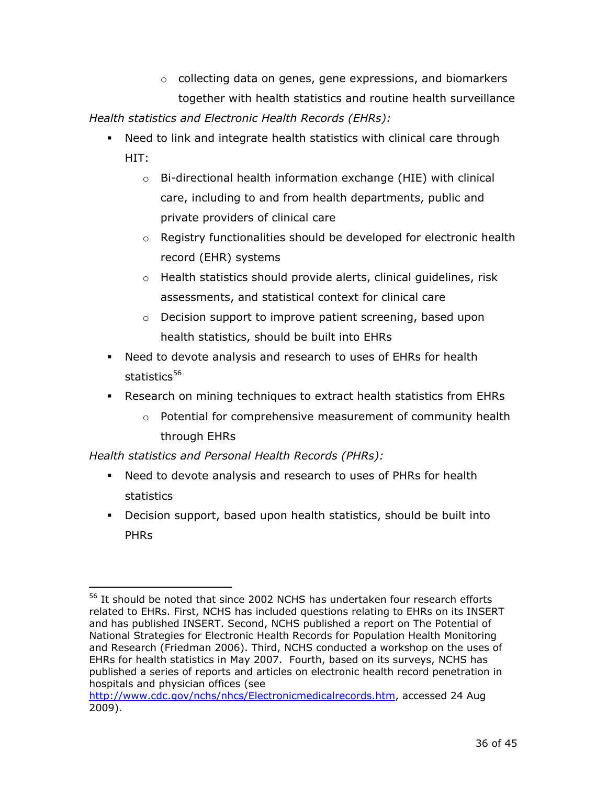- $\circ$  collecting data on genes, gene expressions, and biomarkers together with health statistics and routine health surveillance *Health statistics and Electronic Health Records (EHRs):* 
	- Need to link and integrate health statistics with clinical care through HIT:
		- private providers of clinical care  $\circ$  Bi-directional health information exchange (HIE) with clinical care, including to and from health departments, public and
		- $\circ$  Registry functionalities should be developed for electronic health record (EHR) systems
		- $\circ$  Health statistics should provide alerts, clinical guidelines, risk assessments, and statistical context for clinical care
		- $\circ$  Decision support to improve patient screening, based upon health statistics, should be built into EHRs
	- Need to devote analysis and research to uses of EHRs for health statistics<sup>56</sup>
	- Research on mining techniques to extract health statistics from EHRs
		- $\circ$  Potential for comprehensive measurement of community health through EHRs

*Health statistics and Personal Health Records (PHRs):* 

- Need to devote analysis and research to uses of PHRs for health statistics
- Decision support, based upon health statistics, should be built into PHRs

 $\overline{a}$ <sup>56</sup> It should be noted that since 2002 NCHS has undertaken four research efforts related to EHRs. First, NCHS has included questions relating to EHRs on its INSERT and has published INSERT. Second, NCHS published a report on The Potential of National Strategies for Electronic Health Records for Population Health Monitoring and Research (Friedman 2006). Third, NCHS conducted a workshop on the uses of EHRs for health statistics in May 2007. Fourth, based on its surveys, NCHS has published a series of reports and articles on electronic health record penetration in hospitals and physician offices (see

http://www.cdc.gov/nchs/nhcs/Electronicmedicalrecords.htm, accessed 24 Aug 2009).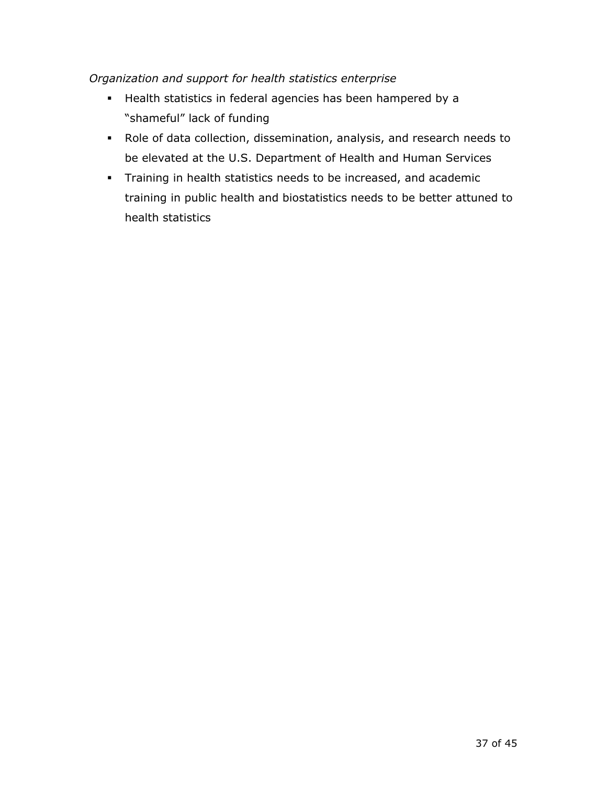#### *Organization and support for health statistics enterprise*

- Health statistics in federal agencies has been hampered by a "shameful" lack of funding
- Role of data collection, dissemination, analysis, and research needs to be elevated at the U.S. Department of Health and Human Services
- **Training in health statistics needs to be increased, and academic** training in public health and biostatistics needs to be better attuned to health statistics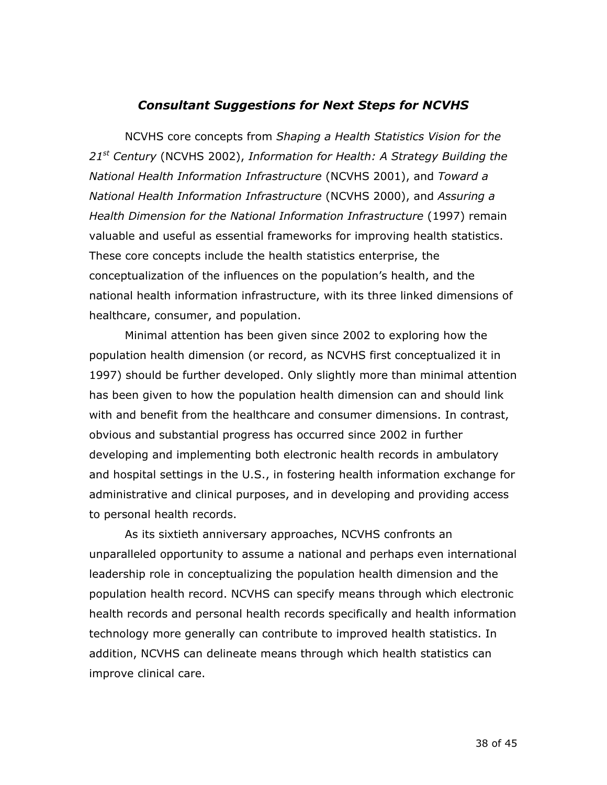#### *Consultant Suggestions for Next Steps for NCVHS*

NCVHS core concepts from *Shaping a Health Statistics Vision for the 21st Century* (NCVHS 2002), *Information for Health: A Strategy Building the National Health Information Infrastructure* (NCVHS 2001), and *Toward a National Health Information Infrastructure* (NCVHS 2000), and *Assuring a Health Dimension for the National Information Infrastructure* (1997) remain valuable and useful as essential frameworks for improving health statistics. These core concepts include the health statistics enterprise, the conceptualization of the influences on the population's health, and the national health information infrastructure, with its three linked dimensions of healthcare, consumer, and population.

Minimal attention has been given since 2002 to exploring how the population health dimension (or record, as NCVHS first conceptualized it in 1997) should be further developed. Only slightly more than minimal attention has been given to how the population health dimension can and should link with and benefit from the healthcare and consumer dimensions. In contrast, obvious and substantial progress has occurred since 2002 in further developing and implementing both electronic health records in ambulatory and hospital settings in the U.S., in fostering health information exchange for administrative and clinical purposes, and in developing and providing access to personal health records.

As its sixtieth anniversary approaches, NCVHS confronts an unparalleled opportunity to assume a national and perhaps even international leadership role in conceptualizing the population health dimension and the population health record. NCVHS can specify means through which electronic health records and personal health records specifically and health information technology more generally can contribute to improved health statistics. In addition, NCVHS can delineate means through which health statistics can improve clinical care.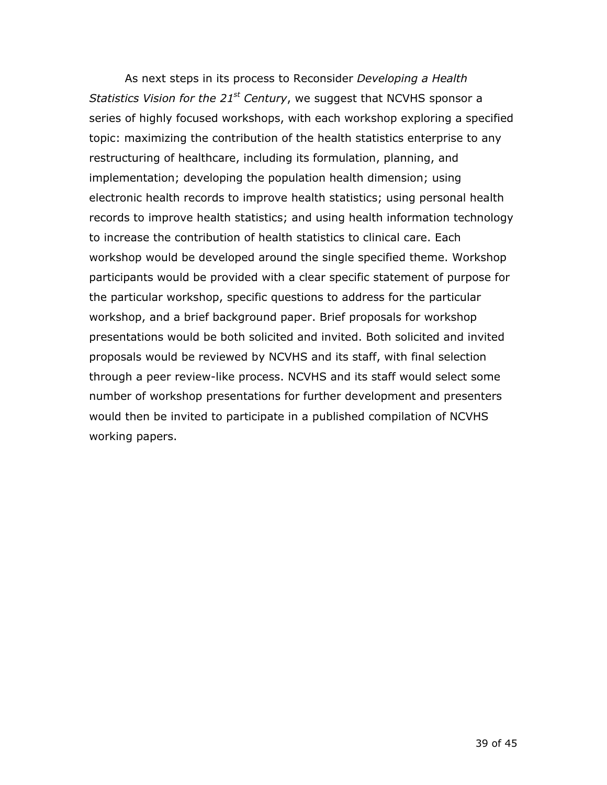would then be invited to participate in a published compilation of NCVHS As next steps in its process to Reconsider *Developing a Health Statistics Vision for the 21<sup>st</sup> Century*, we suggest that NCVHS sponsor a series of highly focused workshops, with each workshop exploring a specified topic: maximizing the contribution of the health statistics enterprise to any restructuring of healthcare, including its formulation, planning, and implementation; developing the population health dimension; using electronic health records to improve health statistics; using personal health records to improve health statistics; and using health information technology to increase the contribution of health statistics to clinical care. Each workshop would be developed around the single specified theme. Workshop participants would be provided with a clear specific statement of purpose for the particular workshop, specific questions to address for the particular workshop, and a brief background paper. Brief proposals for workshop presentations would be both solicited and invited. Both solicited and invited proposals would be reviewed by NCVHS and its staff, with final selection through a peer review-like process. NCVHS and its staff would select some number of workshop presentations for further development and presenters working papers.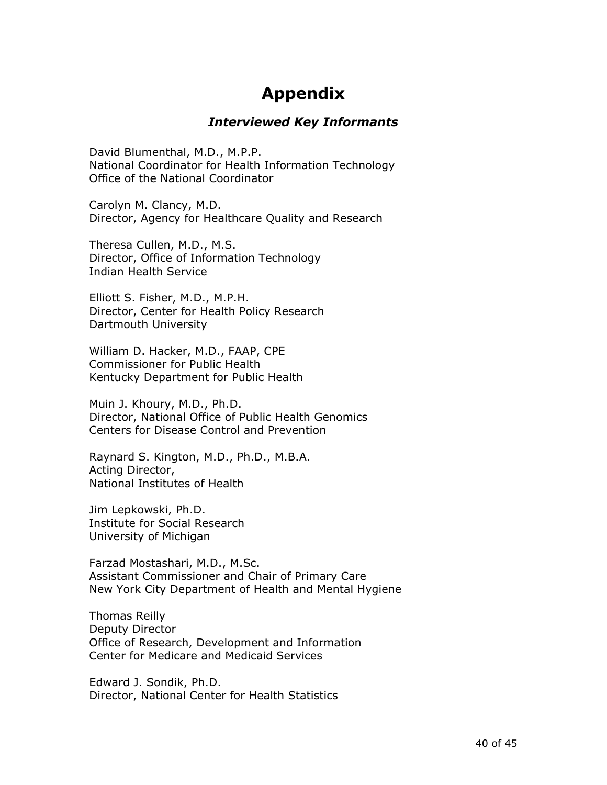# **Appendix**

#### *Interviewed Key Informants*

David Blumenthal, M.D., M.P.P. National Coordinator for Health Information Technology Office of the National Coordinator

Carolyn M. Clancy, M.D. Director, Agency for Healthcare Quality and Research

Theresa Cullen, M.D., M.S. Director, Office of Information Technology Indian Health Service

Elliott S. Fisher, M.D., M.P.H. Director, Center for Health Policy Research Dartmouth University

William D. Hacker, M.D., FAAP, CPE Commissioner for Public Health Kentucky Department for Public Health

Muin J. Khoury, M.D., Ph.D. Director, National Office of Public Health Genomics Centers for Disease Control and Prevention

Raynard S. Kington, M.D., Ph.D., M.B.A. Acting Director, National Institutes of Health

Jim Lepkowski, Ph.D. Institute for Social Research University of Michigan

Farzad Mostashari, M.D., M.Sc. Assistant Commissioner and Chair of Primary Care New York City Department of Health and Mental Hygiene

Thomas Reilly Deputy Director Office of Research, Development and Information Center for Medicare and Medicaid Services

Edward J. Sondik, Ph.D. Director, National Center for Health Statistics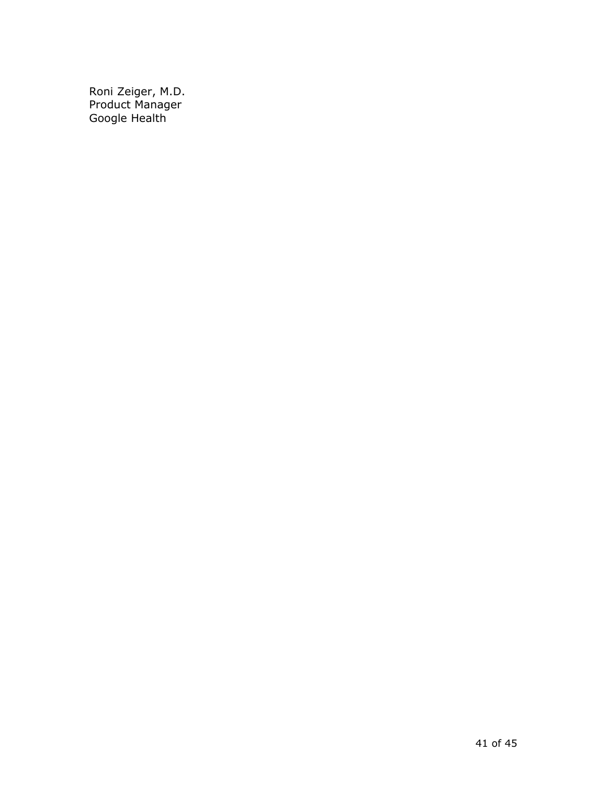Roni Zeiger, M.D. Product Manager Google Health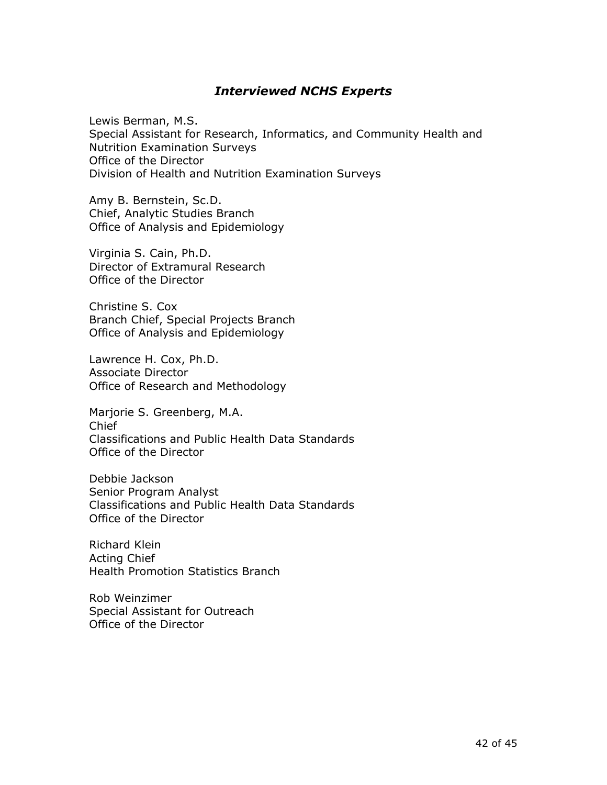#### *Interviewed NCHS Experts*

Lewis Berman, M.S. Special Assistant for Research, Informatics, and Community Health and Nutrition Examination Surveys Office of the Director Division of Health and Nutrition Examination Surveys

Amy B. Bernstein, Sc.D. Chief, Analytic Studies Branch Office of Analysis and Epidemiology

Virginia S. Cain, Ph.D. Director of Extramural Research Office of the Director

Christine S. Cox Branch Chief, Special Projects Branch Office of Analysis and Epidemiology

Lawrence H. Cox, Ph.D. Associate Director Office of Research and Methodology

Marjorie S. Greenberg, M.A. Chief Classifications and Public Health Data Standards Office of the Director

Debbie Jackson Senior Program Analyst Classifications and Public Health Data Standards Office of the Director

Richard Klein Acting Chief Health Promotion Statistics Branch

Rob Weinzimer Special Assistant for Outreach Office of the Director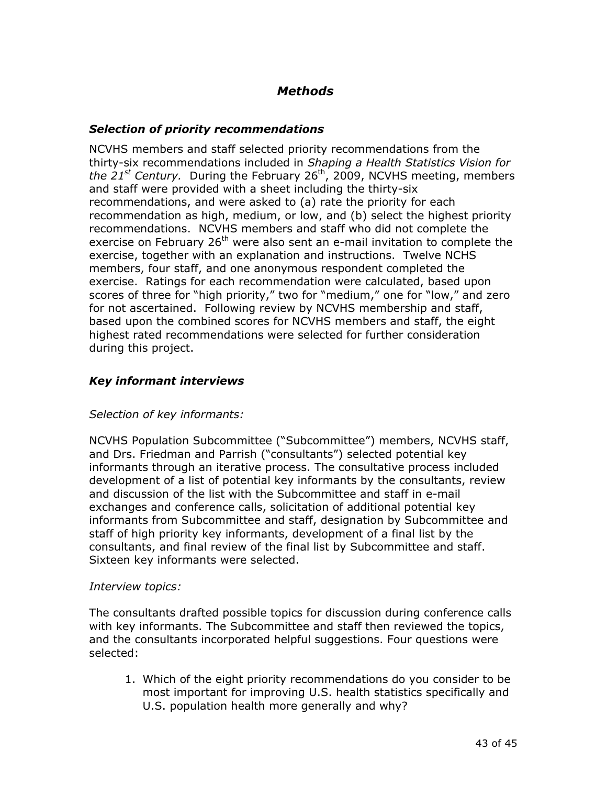## *Methods*

#### *Selection of priority recommendations*

NCVHS members and staff selected priority recommendations from the thirty-six recommendations included in *Shaping a Health Statistics Vision for the 21st Century.* During the February 26th, 2009, NCVHS meeting, members and staff were provided with a sheet including the thirty-six recommendations, and were asked to (a) rate the priority for each recommendation as high, medium, or low, and (b) select the highest priority recommendations. NCVHS members and staff who did not complete the exercise on February  $26<sup>th</sup>$  were also sent an e-mail invitation to complete the exercise, together with an explanation and instructions. Twelve NCHS members, four staff, and one anonymous respondent completed the exercise. Ratings for each recommendation were calculated, based upon scores of three for "high priority," two for "medium," one for "low," and zero for not ascertained. Following review by NCVHS membership and staff, based upon the combined scores for NCVHS members and staff, the eight highest rated recommendations were selected for further consideration during this project.

#### *Key informant interviews*

#### *Selection of key informants:*

NCVHS Population Subcommittee ("Subcommittee") members, NCVHS staff, and Drs. Friedman and Parrish ("consultants") selected potential key informants through an iterative process. The consultative process included development of a list of potential key informants by the consultants, review and discussion of the list with the Subcommittee and staff in e-mail exchanges and conference calls, solicitation of additional potential key informants from Subcommittee and staff, designation by Subcommittee and staff of high priority key informants, development of a final list by the consultants, and final review of the final list by Subcommittee and staff. Sixteen key informants were selected.

#### *Interview topics:*

The consultants drafted possible topics for discussion during conference calls with key informants. The Subcommittee and staff then reviewed the topics, and the consultants incorporated helpful suggestions. Four questions were selected:

1. Which of the eight priority recommendations do you consider to be most important for improving U.S. health statistics specifically and U.S. population health more generally and why?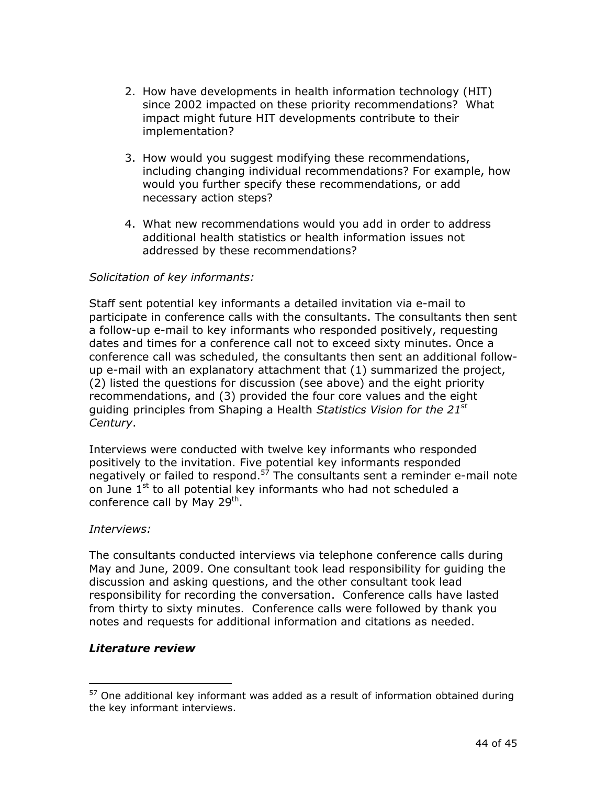- 2. How have developments in health information technology (HIT) since 2002 impacted on these priority recommendations? What impact might future HIT developments contribute to their implementation?
- 3. How would you suggest modifying these recommendations, including changing individual recommendations? For example, how would you further specify these recommendations, or add necessary action steps?
- 4. What new recommendations would you add in order to address additional health statistics or health information issues not addressed by these recommendations?

#### *Solicitation of key informants:*

Staff sent potential key informants a detailed invitation via e-mail to participate in conference calls with the consultants. The consultants then sent a follow-up e-mail to key informants who responded positively, requesting dates and times for a conference call not to exceed sixty minutes. Once a conference call was scheduled, the consultants then sent an additional followup e-mail with an explanatory attachment that (1) summarized the project, (2) listed the questions for discussion (see above) and the eight priority recommendations, and (3) provided the four core values and the eight guiding principles from Shaping a Health *Statistics Vision for the 21st Century*.

Interviews were conducted with twelve key informants who responded positively to the invitation. Five potential key informants responded negatively or failed to respond.<sup>57</sup> The consultants sent a reminder e-mail note on June  $1<sup>st</sup>$  to all potential key informants who had not scheduled a conference call by May 29<sup>th</sup>.

#### *Interviews:*

The consultants conducted interviews via telephone conference calls during May and June, 2009. One consultant took lead responsibility for guiding the discussion and asking questions, and the other consultant took lead responsibility for recording the conversation. Conference calls have lasted from thirty to sixty minutes. Conference calls were followed by thank you notes and requests for additional information and citations as needed.

#### *Literature review*

 $57$  One additional key informant was added as a result of information obtained during the key informant interviews.